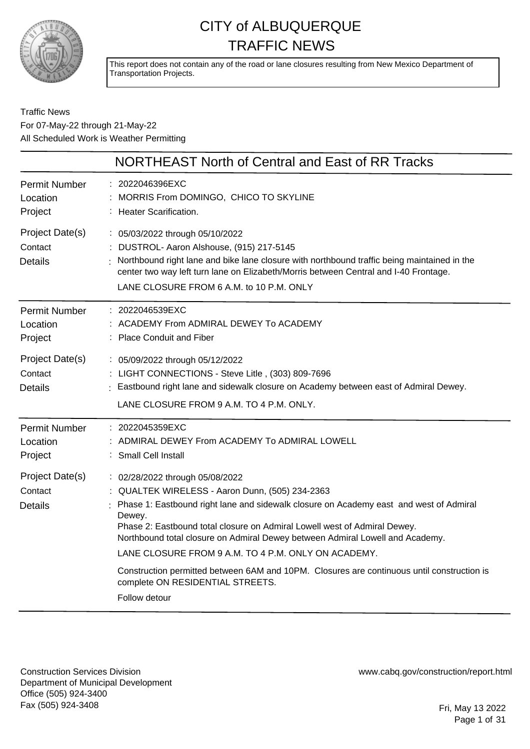

This report does not contain any of the road or lane closures resulting from New Mexico Department of Transportation Projects.

#### Traffic News For 07-May-22 through 21-May-22 All Scheduled Work is Weather Permitting

|                                              | NORTHEAST North of Central and East of RR Tracks                                                                                                                                                                                                                                                                                                                                                                                                                                                                                                                 |
|----------------------------------------------|------------------------------------------------------------------------------------------------------------------------------------------------------------------------------------------------------------------------------------------------------------------------------------------------------------------------------------------------------------------------------------------------------------------------------------------------------------------------------------------------------------------------------------------------------------------|
| <b>Permit Number</b><br>Location<br>Project  | : 2022046396EXC<br>: MORRIS From DOMINGO, CHICO TO SKYLINE<br>: Heater Scarification.                                                                                                                                                                                                                                                                                                                                                                                                                                                                            |
| Project Date(s)<br>Contact<br><b>Details</b> | : 05/03/2022 through 05/10/2022<br>: DUSTROL- Aaron Alshouse, (915) 217-5145<br>: Northbound right lane and bike lane closure with northbound traffic being maintained in the<br>center two way left turn lane on Elizabeth/Morris between Central and I-40 Frontage.<br>LANE CLOSURE FROM 6 A.M. to 10 P.M. ONLY                                                                                                                                                                                                                                                |
| Permit Number<br>Location<br>Project         | : 2022046539EXC<br>: ACADEMY From ADMIRAL DEWEY To ACADEMY<br>: Place Conduit and Fiber                                                                                                                                                                                                                                                                                                                                                                                                                                                                          |
| Project Date(s)<br>Contact<br><b>Details</b> | : 05/09/2022 through 05/12/2022<br>: LIGHT CONNECTIONS - Steve Litle, (303) 809-7696<br>: Eastbound right lane and sidewalk closure on Academy between east of Admiral Dewey.<br>LANE CLOSURE FROM 9 A.M. TO 4 P.M. ONLY.                                                                                                                                                                                                                                                                                                                                        |
| <b>Permit Number</b><br>Location<br>Project  | : 2022045359EXC<br>: ADMIRAL DEWEY From ACADEMY To ADMIRAL LOWELL<br>: Small Cell Install                                                                                                                                                                                                                                                                                                                                                                                                                                                                        |
| Project Date(s)<br>Contact<br><b>Details</b> | : 02/28/2022 through 05/08/2022<br>: QUALTEK WIRELESS - Aaron Dunn, (505) 234-2363<br>: Phase 1: Eastbound right lane and sidewalk closure on Academy east and west of Admiral<br>Dewey.<br>Phase 2: Eastbound total closure on Admiral Lowell west of Admiral Dewey.<br>Northbound total closure on Admiral Dewey between Admiral Lowell and Academy.<br>LANE CLOSURE FROM 9 A.M. TO 4 P.M. ONLY ON ACADEMY.<br>Construction permitted between 6AM and 10PM. Closures are continuous until construction is<br>complete ON RESIDENTIAL STREETS.<br>Follow detour |
|                                              |                                                                                                                                                                                                                                                                                                                                                                                                                                                                                                                                                                  |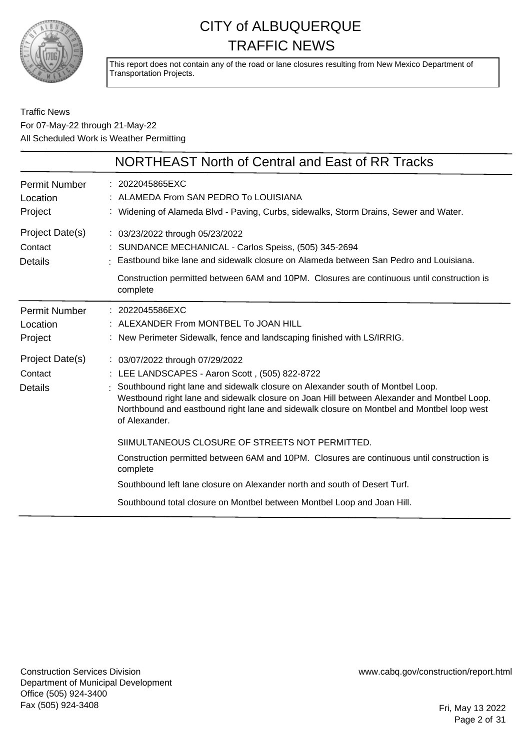

This report does not contain any of the road or lane closures resulting from New Mexico Department of Transportation Projects.

#### Traffic News For 07-May-22 through 21-May-22 All Scheduled Work is Weather Permitting

|                                              | NORTHEAST North of Central and East of RR Tracks                                                                                                                                                                                                                                                                                                                                |
|----------------------------------------------|---------------------------------------------------------------------------------------------------------------------------------------------------------------------------------------------------------------------------------------------------------------------------------------------------------------------------------------------------------------------------------|
| <b>Permit Number</b><br>Location<br>Project  | : 2022045865EXC<br>: ALAMEDA From SAN PEDRO To LOUISIANA<br>: Widening of Alameda Blvd - Paving, Curbs, sidewalks, Storm Drains, Sewer and Water.                                                                                                                                                                                                                               |
| Project Date(s)<br>Contact<br>Details        | : 03/23/2022 through 05/23/2022<br>: SUNDANCE MECHANICAL - Carlos Speiss, (505) 345-2694<br>Eastbound bike lane and sidewalk closure on Alameda between San Pedro and Louisiana.<br>Construction permitted between 6AM and 10PM. Closures are continuous until construction is<br>complete                                                                                      |
| <b>Permit Number</b><br>Location<br>Project  | : 2022045586EXC<br>: ALEXANDER From MONTBEL To JOAN HILL<br>: New Perimeter Sidewalk, fence and landscaping finished with LS/IRRIG.                                                                                                                                                                                                                                             |
| Project Date(s)<br>Contact<br><b>Details</b> | : 03/07/2022 through 07/29/2022<br>: LEE LANDSCAPES - Aaron Scott, (505) 822-8722<br>Southbound right lane and sidewalk closure on Alexander south of Montbel Loop.<br>Westbound right lane and sidewalk closure on Joan Hill between Alexander and Montbel Loop.<br>Northbound and eastbound right lane and sidewalk closure on Montbel and Montbel loop west<br>of Alexander. |
|                                              | SIIMULTANEOUS CLOSURE OF STREETS NOT PERMITTED.<br>Construction permitted between 6AM and 10PM. Closures are continuous until construction is<br>complete<br>Southbound left lane closure on Alexander north and south of Desert Turf.<br>Southbound total closure on Montbel between Montbel Loop and Joan Hill.                                                               |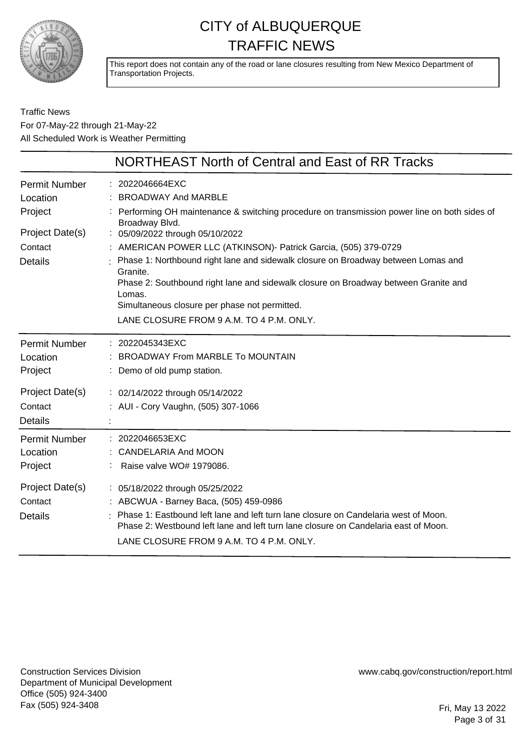

This report does not contain any of the road or lane closures resulting from New Mexico Department of Transportation Projects.

Traffic News For 07-May-22 through 21-May-22 All Scheduled Work is Weather Permitting

|                                                                                             | NORTHEAST North of Central and East of RR Tracks                                                                                                                                                                                                                                                                                                                                                                                                                                                                                                                        |
|---------------------------------------------------------------------------------------------|-------------------------------------------------------------------------------------------------------------------------------------------------------------------------------------------------------------------------------------------------------------------------------------------------------------------------------------------------------------------------------------------------------------------------------------------------------------------------------------------------------------------------------------------------------------------------|
| <b>Permit Number</b><br>Location<br>Project<br>Project Date(s)<br>Contact<br><b>Details</b> | : 2022046664EXC<br><b>BROADWAY And MARBLE</b><br>: Performing OH maintenance & switching procedure on transmission power line on both sides of<br>Broadway Blvd.<br>: 05/09/2022 through 05/10/2022<br>: AMERICAN POWER LLC (ATKINSON)- Patrick Garcia, (505) 379-0729<br>: Phase 1: Northbound right lane and sidewalk closure on Broadway between Lomas and<br>Granite.<br>Phase 2: Southbound right lane and sidewalk closure on Broadway between Granite and<br>Lomas.<br>Simultaneous closure per phase not permitted.<br>LANE CLOSURE FROM 9 A.M. TO 4 P.M. ONLY. |
| Permit Number<br>Location<br>Project                                                        | : 2022045343EXC<br>BROADWAY From MARBLE To MOUNTAIN<br>: Demo of old pump station.                                                                                                                                                                                                                                                                                                                                                                                                                                                                                      |
| Project Date(s)<br>Contact<br><b>Details</b>                                                | : 02/14/2022 through 05/14/2022<br>: AUI - Cory Vaughn, (505) 307-1066                                                                                                                                                                                                                                                                                                                                                                                                                                                                                                  |
| <b>Permit Number</b><br>Location<br>Project                                                 | : 2022046653EXC<br><b>CANDELARIA And MOON</b><br>Raise valve WO# 1979086.                                                                                                                                                                                                                                                                                                                                                                                                                                                                                               |
| Project Date(s)<br>Contact<br><b>Details</b>                                                | : 05/18/2022 through 05/25/2022<br>: ABCWUA - Barney Baca, (505) 459-0986<br>: Phase 1: Eastbound left lane and left turn lane closure on Candelaria west of Moon.<br>Phase 2: Westbound left lane and left turn lane closure on Candelaria east of Moon.<br>LANE CLOSURE FROM 9 A.M. TO 4 P.M. ONLY.                                                                                                                                                                                                                                                                   |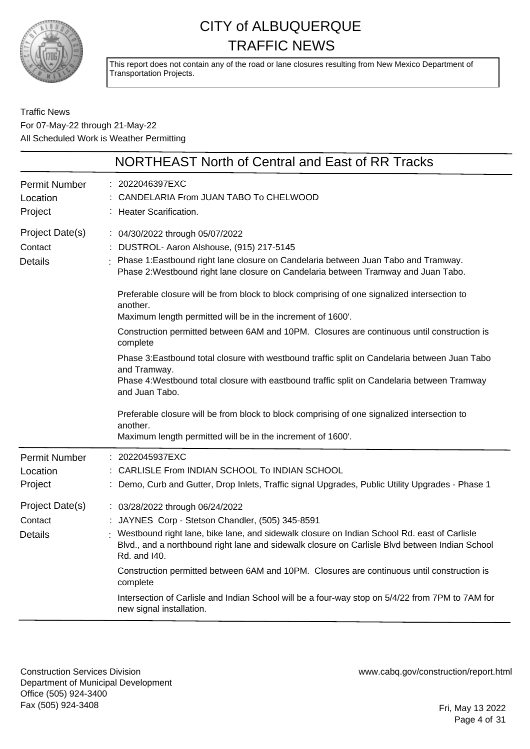

This report does not contain any of the road or lane closures resulting from New Mexico Department of Transportation Projects.

Traffic News For 07-May-22 through 21-May-22 All Scheduled Work is Weather Permitting

|                                              | <b>NORTHEAST North of Central and East of RR Tracks</b>                                                                                                                                                                                                                                                                                                                                                                                                                                                                                                                                                                                                                                                                                                                                                                                                                                                                                                  |
|----------------------------------------------|----------------------------------------------------------------------------------------------------------------------------------------------------------------------------------------------------------------------------------------------------------------------------------------------------------------------------------------------------------------------------------------------------------------------------------------------------------------------------------------------------------------------------------------------------------------------------------------------------------------------------------------------------------------------------------------------------------------------------------------------------------------------------------------------------------------------------------------------------------------------------------------------------------------------------------------------------------|
| <b>Permit Number</b><br>Location<br>Project  | : 2022046397EXC<br>CANDELARIA From JUAN TABO To CHELWOOD<br>: Heater Scarification.                                                                                                                                                                                                                                                                                                                                                                                                                                                                                                                                                                                                                                                                                                                                                                                                                                                                      |
| Project Date(s)<br>Contact<br><b>Details</b> | : 04/30/2022 through 05/07/2022<br>DUSTROL- Aaron Alshouse, (915) 217-5145<br>: Phase 1: Eastbound right lane closure on Candelaria between Juan Tabo and Tramway.<br>Phase 2: Westbound right lane closure on Candelaria between Tramway and Juan Tabo.<br>Preferable closure will be from block to block comprising of one signalized intersection to<br>another.<br>Maximum length permitted will be in the increment of 1600'.<br>Construction permitted between 6AM and 10PM. Closures are continuous until construction is<br>complete<br>Phase 3: Eastbound total closure with westbound traffic split on Candelaria between Juan Tabo<br>and Tramway.<br>Phase 4: Westbound total closure with eastbound traffic split on Candelaria between Tramway<br>and Juan Tabo.<br>Preferable closure will be from block to block comprising of one signalized intersection to<br>another.<br>Maximum length permitted will be in the increment of 1600'. |
| <b>Permit Number</b><br>Location<br>Project  | 2022045937EXC<br>CARLISLE From INDIAN SCHOOL To INDIAN SCHOOL<br>: Demo, Curb and Gutter, Drop Inlets, Traffic signal Upgrades, Public Utility Upgrades - Phase 1                                                                                                                                                                                                                                                                                                                                                                                                                                                                                                                                                                                                                                                                                                                                                                                        |
| Project Date(s)<br>Contact<br><b>Details</b> | : 03/28/2022 through 06/24/2022<br>: JAYNES Corp - Stetson Chandler, (505) 345-8591<br>: Westbound right lane, bike lane, and sidewalk closure on Indian School Rd. east of Carlisle<br>Blvd., and a northbound right lane and sidewalk closure on Carlisle Blvd between Indian School<br>Rd. and I40.<br>Construction permitted between 6AM and 10PM. Closures are continuous until construction is<br>complete<br>Intersection of Carlisle and Indian School will be a four-way stop on 5/4/22 from 7PM to 7AM for<br>new signal installation.                                                                                                                                                                                                                                                                                                                                                                                                         |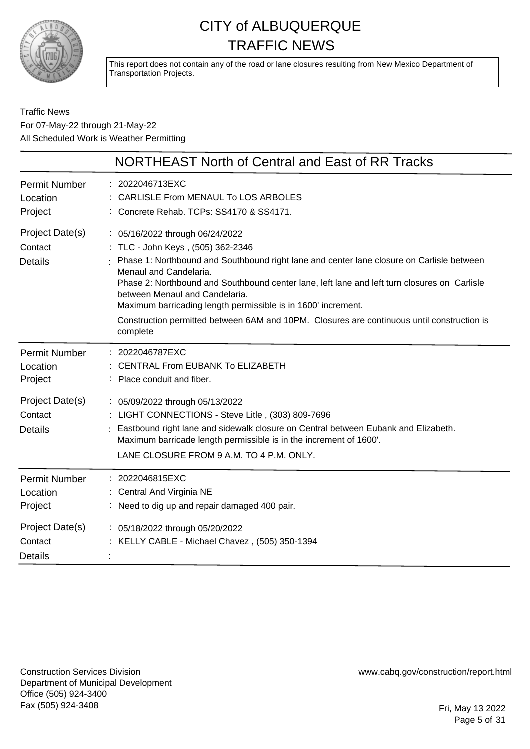

This report does not contain any of the road or lane closures resulting from New Mexico Department of Transportation Projects.

#### Traffic News For 07-May-22 through 21-May-22 All Scheduled Work is Weather Permitting

|                                                                | NORTHEAST North of Central and East of RR Tracks                                                                                                                                                                                                                                                                                                                                                                                                                                                         |
|----------------------------------------------------------------|----------------------------------------------------------------------------------------------------------------------------------------------------------------------------------------------------------------------------------------------------------------------------------------------------------------------------------------------------------------------------------------------------------------------------------------------------------------------------------------------------------|
| <b>Permit Number</b><br>Location<br>Project                    | : 2022046713EXC<br>CARLISLE From MENAUL To LOS ARBOLES<br>Concrete Rehab. TCPs: SS4170 & SS4171.                                                                                                                                                                                                                                                                                                                                                                                                         |
| Project Date(s)<br>Contact<br><b>Details</b>                   | : 05/16/2022 through 06/24/2022<br>: TLC - John Keys, (505) 362-2346<br>Phase 1: Northbound and Southbound right lane and center lane closure on Carlisle between<br>Menaul and Candelaria.<br>Phase 2: Northbound and Southbound center lane, left lane and left turn closures on Carlisle<br>between Menaul and Candelaria.<br>Maximum barricading length permissible is in 1600' increment.<br>Construction permitted between 6AM and 10PM. Closures are continuous until construction is<br>complete |
| <b>Permit Number</b><br>Location<br>Project                    | : 2022046787EXC<br>CENTRAL From EUBANK To ELIZABETH<br>Place conduit and fiber.                                                                                                                                                                                                                                                                                                                                                                                                                          |
| Project Date(s)<br>Contact<br><b>Details</b>                   | : 05/09/2022 through 05/13/2022<br>: LIGHT CONNECTIONS - Steve Litle, (303) 809-7696<br>Eastbound right lane and sidewalk closure on Central between Eubank and Elizabeth.<br>Maximum barricade length permissible is in the increment of 1600'.<br>LANE CLOSURE FROM 9 A.M. TO 4 P.M. ONLY.                                                                                                                                                                                                             |
| <b>Permit Number</b><br>Location<br>Project<br>Project Date(s) | : 2022046815EXC<br>: Central And Virginia NE<br>: Need to dig up and repair damaged 400 pair.<br>: 05/18/2022 through 05/20/2022                                                                                                                                                                                                                                                                                                                                                                         |
| Contact<br><b>Details</b>                                      | : KELLY CABLE - Michael Chavez, (505) 350-1394                                                                                                                                                                                                                                                                                                                                                                                                                                                           |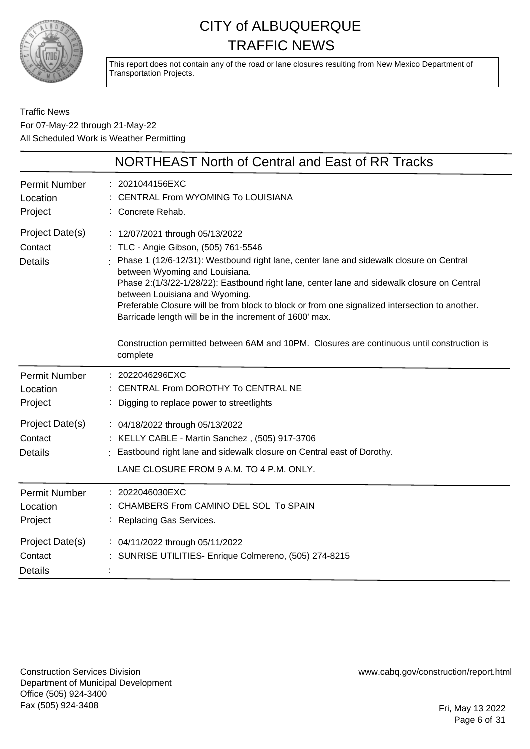

This report does not contain any of the road or lane closures resulting from New Mexico Department of Transportation Projects.

#### Traffic News For 07-May-22 through 21-May-22 All Scheduled Work is Weather Permitting

|                                              | NORTHEAST North of Central and East of RR Tracks                                                                                                                                                                                                                                                                                                                                                                                                                                                   |
|----------------------------------------------|----------------------------------------------------------------------------------------------------------------------------------------------------------------------------------------------------------------------------------------------------------------------------------------------------------------------------------------------------------------------------------------------------------------------------------------------------------------------------------------------------|
| <b>Permit Number</b><br>Location<br>Project  | 2021044156EXC<br><b>CENTRAL From WYOMING To LOUISIANA</b><br>Concrete Rehab.                                                                                                                                                                                                                                                                                                                                                                                                                       |
| Project Date(s)<br>Contact<br><b>Details</b> | : 12/07/2021 through 05/13/2022<br>: TLC - Angie Gibson, (505) 761-5546<br>Phase 1 (12/6-12/31): Westbound right lane, center lane and sidewalk closure on Central<br>between Wyoming and Louisiana.<br>Phase 2:(1/3/22-1/28/22): Eastbound right lane, center lane and sidewalk closure on Central<br>between Louisiana and Wyoming.<br>Preferable Closure will be from block to block or from one signalized intersection to another.<br>Barricade length will be in the increment of 1600' max. |
|                                              | Construction permitted between 6AM and 10PM. Closures are continuous until construction is<br>complete                                                                                                                                                                                                                                                                                                                                                                                             |
| <b>Permit Number</b><br>Location<br>Project  | : 2022046296EXC<br>CENTRAL From DOROTHY To CENTRAL NE<br>Digging to replace power to streetlights                                                                                                                                                                                                                                                                                                                                                                                                  |
| Project Date(s)<br>Contact<br><b>Details</b> | : 04/18/2022 through 05/13/2022<br>: KELLY CABLE - Martin Sanchez, (505) 917-3706<br>Eastbound right lane and sidewalk closure on Central east of Dorothy.<br>LANE CLOSURE FROM 9 A.M. TO 4 P.M. ONLY.                                                                                                                                                                                                                                                                                             |
| <b>Permit Number</b><br>Location<br>Project  | : 2022046030EXC<br>CHAMBERS From CAMINO DEL SOL To SPAIN<br>: Replacing Gas Services.                                                                                                                                                                                                                                                                                                                                                                                                              |
| Project Date(s)<br>Contact<br><b>Details</b> | : 04/11/2022 through 05/11/2022<br>SUNRISE UTILITIES- Enrique Colmereno, (505) 274-8215                                                                                                                                                                                                                                                                                                                                                                                                            |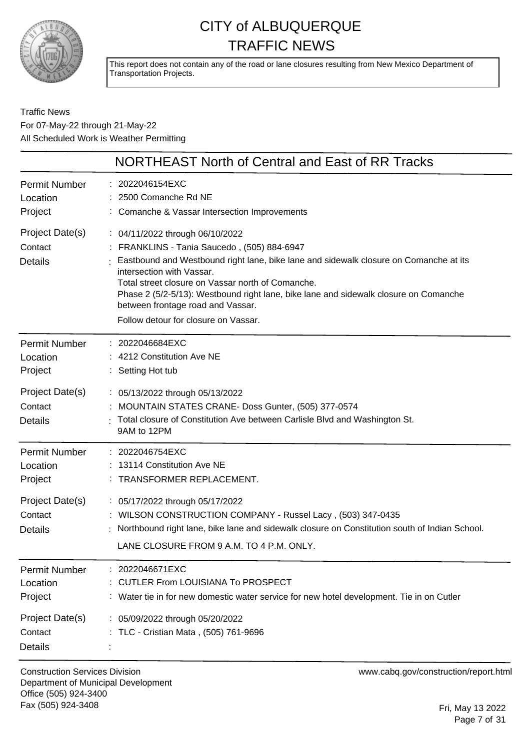

This report does not contain any of the road or lane closures resulting from New Mexico Department of Transportation Projects.

Traffic News For 07-May-22 through 21-May-22 All Scheduled Work is Weather Permitting

|                                              | NORTHEAST North of Central and East of RR Tracks                                                                                                                                                                                                                                                                                                                                                                             |
|----------------------------------------------|------------------------------------------------------------------------------------------------------------------------------------------------------------------------------------------------------------------------------------------------------------------------------------------------------------------------------------------------------------------------------------------------------------------------------|
| <b>Permit Number</b><br>Location<br>Project  | : 2022046154EXC<br>2500 Comanche Rd NE<br>: Comanche & Vassar Intersection Improvements                                                                                                                                                                                                                                                                                                                                      |
| Project Date(s)<br>Contact<br><b>Details</b> | : 04/11/2022 through 06/10/2022<br>FRANKLINS - Tania Saucedo, (505) 884-6947<br>Eastbound and Westbound right lane, bike lane and sidewalk closure on Comanche at its<br>intersection with Vassar.<br>Total street closure on Vassar north of Comanche.<br>Phase 2 (5/2-5/13): Westbound right lane, bike lane and sidewalk closure on Comanche<br>between frontage road and Vassar.<br>Follow detour for closure on Vassar. |
| <b>Permit Number</b><br>Location<br>Project  | : 2022046684EXC<br>: 4212 Constitution Ave NE<br>: Setting Hot tub                                                                                                                                                                                                                                                                                                                                                           |
| Project Date(s)<br>Contact<br><b>Details</b> | : 05/13/2022 through 05/13/2022<br>MOUNTAIN STATES CRANE- Doss Gunter, (505) 377-0574<br>Total closure of Constitution Ave between Carlisle Blvd and Washington St.<br>9AM to 12PM                                                                                                                                                                                                                                           |
| <b>Permit Number</b><br>Location<br>Project  | : 2022046754EXC<br>13114 Constitution Ave NE<br>: TRANSFORMER REPLACEMENT.                                                                                                                                                                                                                                                                                                                                                   |
| Project Date(s)<br>Contact<br><b>Details</b> | : 05/17/2022 through 05/17/2022<br>: WILSON CONSTRUCTION COMPANY - Russel Lacy, (503) 347-0435<br>Northbound right lane, bike lane and sidewalk closure on Constitution south of Indian School.<br>LANE CLOSURE FROM 9 A.M. TO 4 P.M. ONLY.                                                                                                                                                                                  |
| <b>Permit Number</b><br>Location<br>Project  | 2022046671EXC<br><b>CUTLER From LOUISIANA To PROSPECT</b><br>: Water tie in for new domestic water service for new hotel development. Tie in on Cutler                                                                                                                                                                                                                                                                       |
| Project Date(s)<br>Contact<br><b>Details</b> | : 05/09/2022 through 05/20/2022<br>: TLC - Cristian Mata, (505) 761-9696                                                                                                                                                                                                                                                                                                                                                     |

Construction Services Division Department of Municipal Development Office (505) 924-3400 Fax (505) 924-3408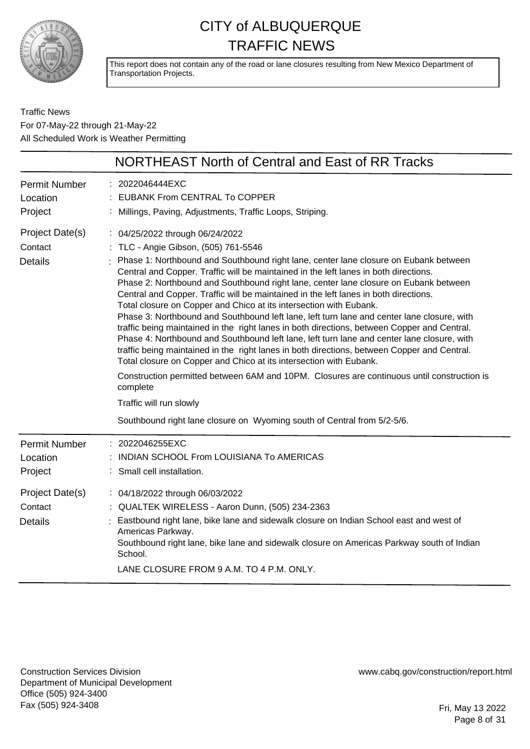

This report does not contain any of the road or lane closures resulting from New Mexico Department of Transportation Projects.

Traffic News For 07-May-22 through 21-May-22 All Scheduled Work is Weather Permitting

|                                              | NORTHEAST North of Central and East of RR Tracks                                                                                                                                                                                                                                                                                                                                                                                                                                                                                                                                                                                                                                                                                                                                                                                                                                                                                                                                                                                                                                                                                                                                              |
|----------------------------------------------|-----------------------------------------------------------------------------------------------------------------------------------------------------------------------------------------------------------------------------------------------------------------------------------------------------------------------------------------------------------------------------------------------------------------------------------------------------------------------------------------------------------------------------------------------------------------------------------------------------------------------------------------------------------------------------------------------------------------------------------------------------------------------------------------------------------------------------------------------------------------------------------------------------------------------------------------------------------------------------------------------------------------------------------------------------------------------------------------------------------------------------------------------------------------------------------------------|
| <b>Permit Number</b><br>Location<br>Project  | : 2022046444EXC<br>: EUBANK From CENTRAL To COPPER<br>: Millings, Paving, Adjustments, Traffic Loops, Striping.                                                                                                                                                                                                                                                                                                                                                                                                                                                                                                                                                                                                                                                                                                                                                                                                                                                                                                                                                                                                                                                                               |
| Project Date(s)<br>Contact<br><b>Details</b> | : 04/25/2022 through 06/24/2022<br>: TLC - Angie Gibson, (505) 761-5546<br>Phase 1: Northbound and Southbound right lane, center lane closure on Eubank between<br>Central and Copper. Traffic will be maintained in the left lanes in both directions.<br>Phase 2: Northbound and Southbound right lane, center lane closure on Eubank between<br>Central and Copper. Traffic will be maintained in the left lanes in both directions.<br>Total closure on Copper and Chico at its intersection with Eubank.<br>Phase 3: Northbound and Southbound left lane, left turn lane and center lane closure, with<br>traffic being maintained in the right lanes in both directions, between Copper and Central.<br>Phase 4: Northbound and Southbound left lane, left turn lane and center lane closure, with<br>traffic being maintained in the right lanes in both directions, between Copper and Central.<br>Total closure on Copper and Chico at its intersection with Eubank.<br>Construction permitted between 6AM and 10PM. Closures are continuous until construction is<br>complete<br>Traffic will run slowly<br>Southbound right lane closure on Wyoming south of Central from 5/2-5/6. |
| Permit Number<br>Location<br>Project         | 2022046255EXC<br>INDIAN SCHOOL From LOUISIANA To AMERICAS<br>: Small cell installation.                                                                                                                                                                                                                                                                                                                                                                                                                                                                                                                                                                                                                                                                                                                                                                                                                                                                                                                                                                                                                                                                                                       |
| Project Date(s)<br>Contact<br><b>Details</b> | : 04/18/2022 through 06/03/2022<br>: QUALTEK WIRELESS - Aaron Dunn, (505) 234-2363<br>Eastbound right lane, bike lane and sidewalk closure on Indian School east and west of<br>Americas Parkway.<br>Southbound right lane, bike lane and sidewalk closure on Americas Parkway south of Indian<br>School.<br>LANE CLOSURE FROM 9 A.M. TO 4 P.M. ONLY.                                                                                                                                                                                                                                                                                                                                                                                                                                                                                                                                                                                                                                                                                                                                                                                                                                         |

Construction Services Division Department of Municipal Development Office (505) 924-3400 Fax (505) 924-3408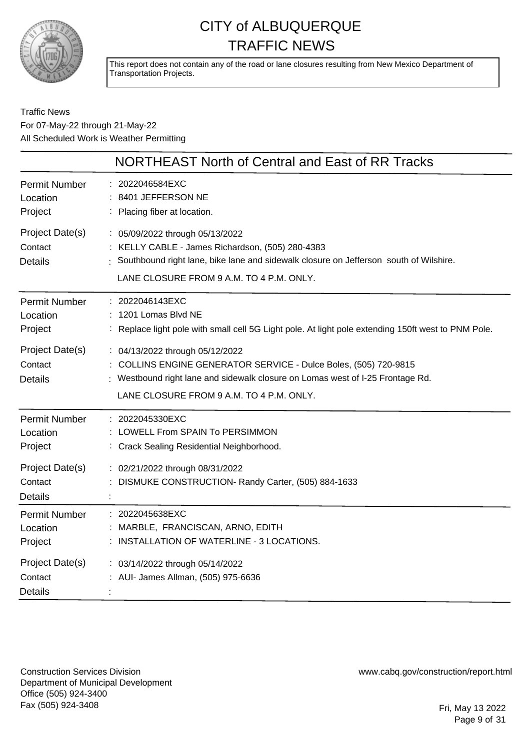

This report does not contain any of the road or lane closures resulting from New Mexico Department of Transportation Projects.

#### Traffic News For 07-May-22 through 21-May-22 All Scheduled Work is Weather Permitting

|                                              | NORTHEAST North of Central and East of RR Tracks                                                                                                                                                                                  |
|----------------------------------------------|-----------------------------------------------------------------------------------------------------------------------------------------------------------------------------------------------------------------------------------|
| <b>Permit Number</b><br>Location<br>Project  | : 2022046584EXC<br>: 8401 JEFFERSON NE<br>: Placing fiber at location.                                                                                                                                                            |
| Project Date(s)<br>Contact<br><b>Details</b> | : 05/09/2022 through 05/13/2022<br>: KELLY CABLE - James Richardson, (505) 280-4383<br>: Southbound right lane, bike lane and sidewalk closure on Jefferson south of Wilshire.<br>LANE CLOSURE FROM 9 A.M. TO 4 P.M. ONLY.        |
| Permit Number<br>Location<br>Project         | : 2022046143EXC<br>1201 Lomas Blvd NE<br>: Replace light pole with small cell 5G Light pole. At light pole extending 150ft west to PNM Pole.                                                                                      |
| Project Date(s)<br>Contact<br><b>Details</b> | : 04/13/2022 through 05/12/2022<br>: COLLINS ENGINE GENERATOR SERVICE - Dulce Boles, (505) 720-9815<br>: Westbound right lane and sidewalk closure on Lomas west of I-25 Frontage Rd.<br>LANE CLOSURE FROM 9 A.M. TO 4 P.M. ONLY. |
| Permit Number<br>Location<br>Project         | : 2022045330EXC<br>LOWELL From SPAIN To PERSIMMON<br>: Crack Sealing Residential Neighborhood.                                                                                                                                    |
| Project Date(s)<br>Contact<br><b>Details</b> | : 02/21/2022 through 08/31/2022<br>DISMUKE CONSTRUCTION- Randy Carter, (505) 884-1633                                                                                                                                             |
| Permit Number<br>Location<br>Project         | : 2022045638EXC<br>: MARBLE, FRANCISCAN, ARNO, EDITH<br>: INSTALLATION OF WATERLINE - 3 LOCATIONS.                                                                                                                                |
| Project Date(s)<br>Contact<br><b>Details</b> | : 03/14/2022 through 05/14/2022<br>: AUI- James Allman, (505) 975-6636                                                                                                                                                            |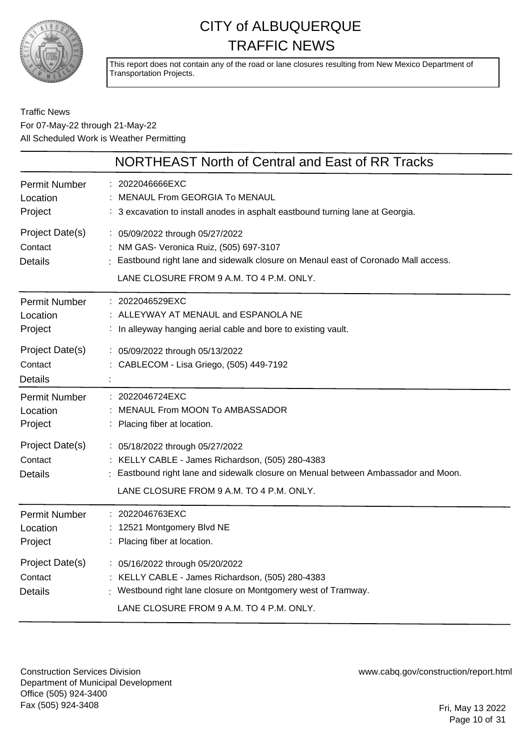

This report does not contain any of the road or lane closures resulting from New Mexico Department of Transportation Projects.

#### Traffic News For 07-May-22 through 21-May-22 All Scheduled Work is Weather Permitting

|                                                                                      | NORTHEAST North of Central and East of RR Tracks                                                                                                                                                                                                             |
|--------------------------------------------------------------------------------------|--------------------------------------------------------------------------------------------------------------------------------------------------------------------------------------------------------------------------------------------------------------|
| <b>Permit Number</b><br>Location<br>Project                                          | : 2022046666EXC<br>MENAUL From GEORGIA To MENAUL<br>: 3 excavation to install anodes in asphalt eastbound turning lane at Georgia.                                                                                                                           |
| Project Date(s)<br>Contact<br><b>Details</b>                                         | : 05/09/2022 through 05/27/2022<br>: NM GAS- Veronica Ruiz, (505) 697-3107<br>: Eastbound right lane and sidewalk closure on Menaul east of Coronado Mall access.<br>LANE CLOSURE FROM 9 A.M. TO 4 P.M. ONLY.                                                |
| Permit Number<br>Location<br>Project                                                 | : 2022046529EXC<br>: ALLEYWAY AT MENAUL and ESPANOLA NE<br>: In alleyway hanging aerial cable and bore to existing vault.                                                                                                                                    |
| Project Date(s)<br>Contact<br><b>Details</b>                                         | : 05/09/2022 through 05/13/2022<br>CABLECOM - Lisa Griego, (505) 449-7192                                                                                                                                                                                    |
| Permit Number<br>Location<br>Project<br>Project Date(s)<br>Contact<br><b>Details</b> | : 2022046724EXC<br>MENAUL From MOON To AMBASSADOR<br>Placing fiber at location.<br>: 05/18/2022 through 05/27/2022<br>: KELLY CABLE - James Richardson, (505) 280-4383<br>: Eastbound right lane and sidewalk closure on Menual between Ambassador and Moon. |
| Permit Number<br>Location<br>Project                                                 | LANE CLOSURE FROM 9 A.M. TO 4 P.M. ONLY.<br>: 2022046763EXC<br>: 12521 Montgomery Blvd NE<br>Placing fiber at location.                                                                                                                                      |
| Project Date(s)<br>Contact<br><b>Details</b>                                         | : 05/16/2022 through 05/20/2022<br>: KELLY CABLE - James Richardson, (505) 280-4383<br>: Westbound right lane closure on Montgomery west of Tramway.<br>LANE CLOSURE FROM 9 A.M. TO 4 P.M. ONLY.                                                             |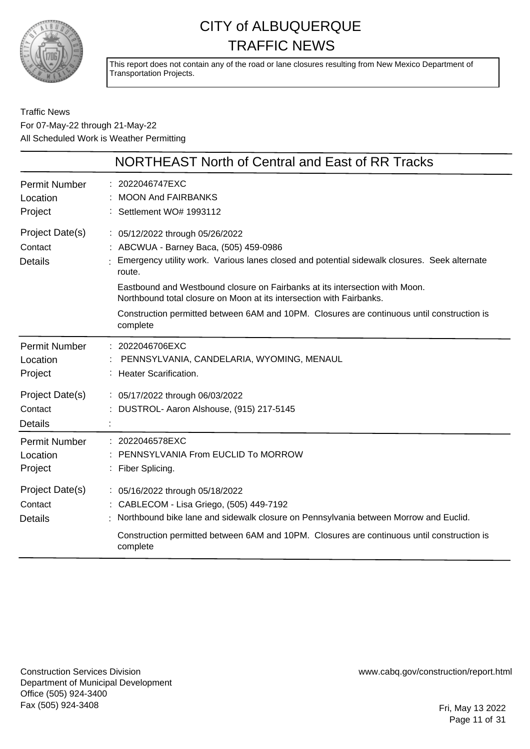

This report does not contain any of the road or lane closures resulting from New Mexico Department of Transportation Projects.

Traffic News For 07-May-22 through 21-May-22 All Scheduled Work is Weather Permitting

|                                                                | NORTHEAST North of Central and East of RR Tracks                                                                                                                                                                                                                                                                                                                                                                                                     |
|----------------------------------------------------------------|------------------------------------------------------------------------------------------------------------------------------------------------------------------------------------------------------------------------------------------------------------------------------------------------------------------------------------------------------------------------------------------------------------------------------------------------------|
| <b>Permit Number</b><br>Location<br>Project                    | : 2022046747EXC<br><b>MOON And FAIRBANKS</b><br>: Settlement WO# 1993112                                                                                                                                                                                                                                                                                                                                                                             |
| Project Date(s)<br>Contact<br><b>Details</b>                   | : 05/12/2022 through 05/26/2022<br>: ABCWUA - Barney Baca, (505) 459-0986<br>Emergency utility work. Various lanes closed and potential sidewalk closures. Seek alternate<br>route.<br>Eastbound and Westbound closure on Fairbanks at its intersection with Moon.<br>Northbound total closure on Moon at its intersection with Fairbanks.<br>Construction permitted between 6AM and 10PM. Closures are continuous until construction is<br>complete |
| <b>Permit Number</b><br>Location<br>Project<br>Project Date(s) | : 2022046706EXC<br>PENNSYLVANIA, CANDELARIA, WYOMING, MENAUL<br>: Heater Scarification.<br>: 05/17/2022 through 06/03/2022                                                                                                                                                                                                                                                                                                                           |
| Contact<br><b>Details</b>                                      | DUSTROL- Aaron Alshouse, (915) 217-5145                                                                                                                                                                                                                                                                                                                                                                                                              |
| <b>Permit Number</b><br>Location<br>Project                    | : 2022046578EXC<br>PENNSYLVANIA From EUCLID To MORROW<br>: Fiber Splicing.                                                                                                                                                                                                                                                                                                                                                                           |
| Project Date(s)<br>Contact<br><b>Details</b>                   | : 05/16/2022 through 05/18/2022<br>: CABLECOM - Lisa Griego, (505) 449-7192<br>Northbound bike lane and sidewalk closure on Pennsylvania between Morrow and Euclid.<br>Construction permitted between 6AM and 10PM. Closures are continuous until construction is<br>complete                                                                                                                                                                        |

Construction Services Division Department of Municipal Development Office (505) 924-3400 Fax (505) 924-3408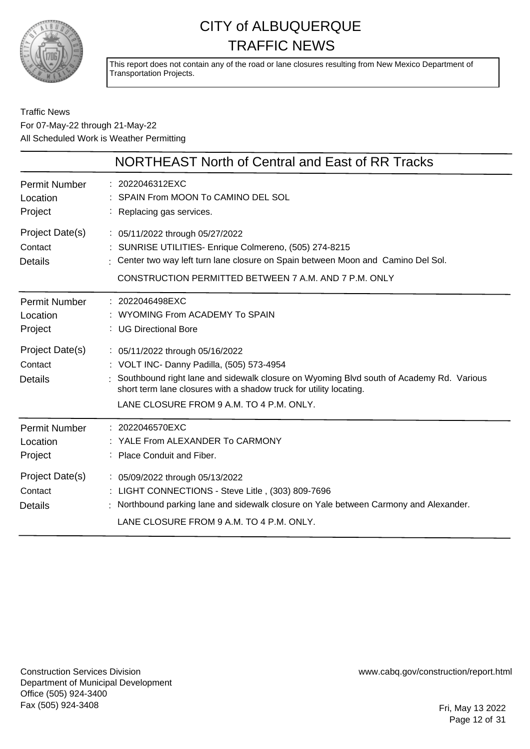

This report does not contain any of the road or lane closures resulting from New Mexico Department of Transportation Projects.

#### Traffic News For 07-May-22 through 21-May-22 All Scheduled Work is Weather Permitting

|                                                                                             | NORTHEAST North of Central and East of RR Tracks                                                                                                                                                                                                                                                                                                                         |
|---------------------------------------------------------------------------------------------|--------------------------------------------------------------------------------------------------------------------------------------------------------------------------------------------------------------------------------------------------------------------------------------------------------------------------------------------------------------------------|
| <b>Permit Number</b><br>Location<br>Project                                                 | : 2022046312EXC<br>SPAIN From MOON To CAMINO DEL SOL<br>Replacing gas services.                                                                                                                                                                                                                                                                                          |
| Project Date(s)<br>Contact<br><b>Details</b>                                                | : 05/11/2022 through 05/27/2022<br>SUNRISE UTILITIES- Enrique Colmereno, (505) 274-8215<br>: Center two way left turn lane closure on Spain between Moon and Camino Del Sol.<br>CONSTRUCTION PERMITTED BETWEEN 7 A.M. AND 7 P.M. ONLY                                                                                                                                    |
| <b>Permit Number</b><br>Location<br>Project<br>Project Date(s)<br>Contact<br><b>Details</b> | : 2022046498EXC<br>WYOMING From ACADEMY To SPAIN<br>: UG Directional Bore<br>: 05/11/2022 through 05/16/2022<br>: VOLT INC- Danny Padilla, (505) 573-4954<br>: Southbound right lane and sidewalk closure on Wyoming Blvd south of Academy Rd. Various<br>short term lane closures with a shadow truck for utility locating.<br>LANE CLOSURE FROM 9 A.M. TO 4 P.M. ONLY. |
| <b>Permit Number</b><br>Location<br>Project                                                 | $: 2022046570$ EXC<br>YALE From ALEXANDER To CARMONY<br>: Place Conduit and Fiber.                                                                                                                                                                                                                                                                                       |
| Project Date(s)<br>Contact<br><b>Details</b>                                                | : 05/09/2022 through 05/13/2022<br>: LIGHT CONNECTIONS - Steve Litle, (303) 809-7696<br>Northbound parking lane and sidewalk closure on Yale between Carmony and Alexander.<br>LANE CLOSURE FROM 9 A.M. TO 4 P.M. ONLY.                                                                                                                                                  |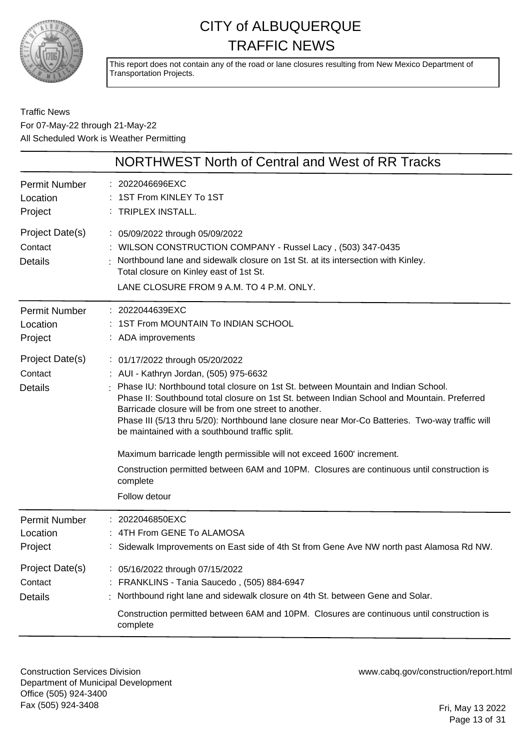

This report does not contain any of the road or lane closures resulting from New Mexico Department of Transportation Projects.

Traffic News For 07-May-22 through 21-May-22 All Scheduled Work is Weather Permitting

|                                              | NORTHWEST North of Central and West of RR Tracks                                                                                                                                                                                                                                                                                                                                                                                                                                                                                                                                                                                                                                |
|----------------------------------------------|---------------------------------------------------------------------------------------------------------------------------------------------------------------------------------------------------------------------------------------------------------------------------------------------------------------------------------------------------------------------------------------------------------------------------------------------------------------------------------------------------------------------------------------------------------------------------------------------------------------------------------------------------------------------------------|
| <b>Permit Number</b><br>Location<br>Project  | : 2022046696EXC<br>: 1ST From KINLEY To 1ST<br>: TRIPLEX INSTALL.                                                                                                                                                                                                                                                                                                                                                                                                                                                                                                                                                                                                               |
| Project Date(s)<br>Contact<br><b>Details</b> | : 05/09/2022 through 05/09/2022<br>: WILSON CONSTRUCTION COMPANY - Russel Lacy, (503) 347-0435<br>Northbound lane and sidewalk closure on 1st St. at its intersection with Kinley.<br>Total closure on Kinley east of 1st St.<br>LANE CLOSURE FROM 9 A.M. TO 4 P.M. ONLY.                                                                                                                                                                                                                                                                                                                                                                                                       |
| <b>Permit Number</b><br>Location<br>Project  | : 2022044639EXC<br>1ST From MOUNTAIN To INDIAN SCHOOL<br>: ADA improvements                                                                                                                                                                                                                                                                                                                                                                                                                                                                                                                                                                                                     |
| Project Date(s)<br>Contact<br><b>Details</b> | : 01/17/2022 through 05/20/2022<br>: AUI - Kathryn Jordan, (505) 975-6632<br>Phase IU: Northbound total closure on 1st St. between Mountain and Indian School.<br>Phase II: Southbound total closure on 1st St. between Indian School and Mountain. Preferred<br>Barricade closure will be from one street to another.<br>Phase III (5/13 thru 5/20): Northbound lane closure near Mor-Co Batteries. Two-way traffic will<br>be maintained with a southbound traffic split.<br>Maximum barricade length permissible will not exceed 1600' increment.<br>Construction permitted between 6AM and 10PM. Closures are continuous until construction is<br>complete<br>Follow detour |
| <b>Permit Number</b><br>Location<br>Project  | : 2022046850EXC<br>4TH From GENE To ALAMOSA<br>Sidewalk Improvements on East side of 4th St from Gene Ave NW north past Alamosa Rd NW.                                                                                                                                                                                                                                                                                                                                                                                                                                                                                                                                          |
| Project Date(s)<br>Contact<br><b>Details</b> | : 05/16/2022 through 07/15/2022<br>FRANKLINS - Tania Saucedo, (505) 884-6947<br>Northbound right lane and sidewalk closure on 4th St. between Gene and Solar.<br>Construction permitted between 6AM and 10PM. Closures are continuous until construction is<br>complete                                                                                                                                                                                                                                                                                                                                                                                                         |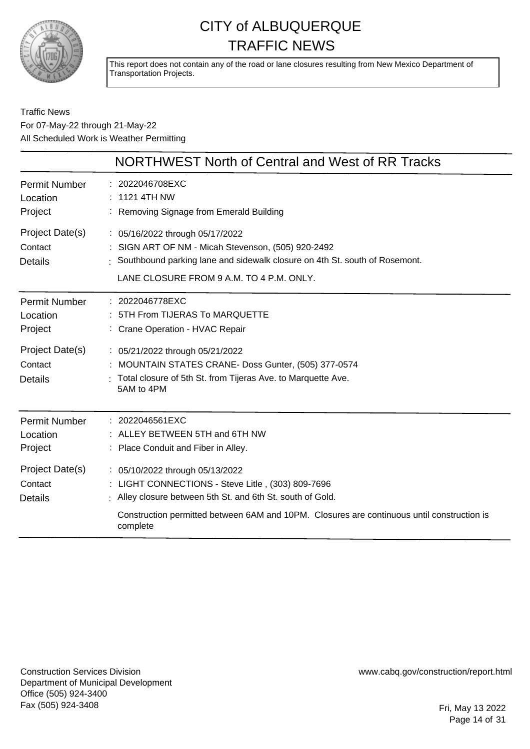

This report does not contain any of the road or lane closures resulting from New Mexico Department of Transportation Projects.

Traffic News For 07-May-22 through 21-May-22 All Scheduled Work is Weather Permitting

|                                              | NORTHWEST North of Central and West of RR Tracks                                                                                                                                                                                                             |
|----------------------------------------------|--------------------------------------------------------------------------------------------------------------------------------------------------------------------------------------------------------------------------------------------------------------|
| <b>Permit Number</b><br>Location<br>Project  | 2022046708EXC<br>$: 11214$ TH NW<br>: Removing Signage from Emerald Building                                                                                                                                                                                 |
| Project Date(s)<br>Contact<br><b>Details</b> | : 05/16/2022 through 05/17/2022<br>: SIGN ART OF NM - Micah Stevenson, (505) 920-2492<br>: Southbound parking lane and sidewalk closure on 4th St. south of Rosemont.<br>LANE CLOSURE FROM 9 A.M. TO 4 P.M. ONLY.                                            |
| Permit Number<br>Location<br>Project         | : 2022046778EXC<br>5TH From TIJERAS To MARQUETTE<br>: Crane Operation - HVAC Repair                                                                                                                                                                          |
| Project Date(s)<br>Contact<br><b>Details</b> | : 05/21/2022 through 05/21/2022<br>: MOUNTAIN STATES CRANE- Doss Gunter, (505) 377-0574<br>Total closure of 5th St. from Tijeras Ave. to Marquette Ave.<br>5AM to 4PM                                                                                        |
| Permit Number<br>Location<br>Project         | : 2022046561EXC<br>: ALLEY BETWEEN 5TH and 6TH NW<br>: Place Conduit and Fiber in Alley.                                                                                                                                                                     |
| Project Date(s)<br>Contact<br><b>Details</b> | : 05/10/2022 through 05/13/2022<br>: LIGHT CONNECTIONS - Steve Litle, (303) 809-7696<br>: Alley closure between 5th St. and 6th St. south of Gold.<br>Construction permitted between 6AM and 10PM. Closures are continuous until construction is<br>complete |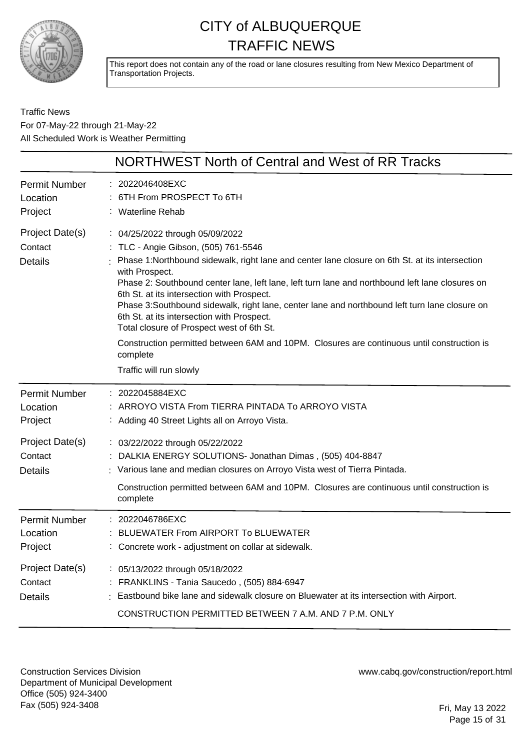

This report does not contain any of the road or lane closures resulting from New Mexico Department of Transportation Projects.

Traffic News For 07-May-22 through 21-May-22 All Scheduled Work is Weather Permitting

|                                              | <b>NORTHWEST North of Central and West of RR Tracks</b>                                                                                                                                                                                                                                                                                                                                                                                                                                                                                                                                                                                                                     |
|----------------------------------------------|-----------------------------------------------------------------------------------------------------------------------------------------------------------------------------------------------------------------------------------------------------------------------------------------------------------------------------------------------------------------------------------------------------------------------------------------------------------------------------------------------------------------------------------------------------------------------------------------------------------------------------------------------------------------------------|
| <b>Permit Number</b><br>Location<br>Project  | 2022046408EXC<br>6TH From PROSPECT To 6TH<br><b>Waterline Rehab</b>                                                                                                                                                                                                                                                                                                                                                                                                                                                                                                                                                                                                         |
| Project Date(s)<br>Contact<br><b>Details</b> | : 04/25/2022 through 05/09/2022<br>TLC - Angie Gibson, (505) 761-5546<br>Phase 1:Northbound sidewalk, right lane and center lane closure on 6th St. at its intersection<br>with Prospect.<br>Phase 2: Southbound center lane, left lane, left turn lane and northbound left lane closures on<br>6th St. at its intersection with Prospect.<br>Phase 3:Southbound sidewalk, right lane, center lane and northbound left turn lane closure on<br>6th St. at its intersection with Prospect.<br>Total closure of Prospect west of 6th St.<br>Construction permitted between 6AM and 10PM. Closures are continuous until construction is<br>complete<br>Traffic will run slowly |
|                                              |                                                                                                                                                                                                                                                                                                                                                                                                                                                                                                                                                                                                                                                                             |
| <b>Permit Number</b><br>Location<br>Project  | 2022045884EXC<br>ARROYO VISTA From TIERRA PINTADA To ARROYO VISTA<br>: Adding 40 Street Lights all on Arroyo Vista.                                                                                                                                                                                                                                                                                                                                                                                                                                                                                                                                                         |
| Project Date(s)<br>Contact<br><b>Details</b> | : 03/22/2022 through 05/22/2022<br>DALKIA ENERGY SOLUTIONS- Jonathan Dimas, (505) 404-8847<br>: Various lane and median closures on Arroyo Vista west of Tierra Pintada.<br>Construction permitted between 6AM and 10PM. Closures are continuous until construction is<br>complete                                                                                                                                                                                                                                                                                                                                                                                          |
| <b>Permit Number</b><br>Location<br>Project  | 2022046786EXC<br>BLUEWATER From AIRPORT To BLUEWATER<br>Concrete work - adjustment on collar at sidewalk.                                                                                                                                                                                                                                                                                                                                                                                                                                                                                                                                                                   |
| Project Date(s)<br>Contact<br><b>Details</b> | : 05/13/2022 through 05/18/2022<br>FRANKLINS - Tania Saucedo, (505) 884-6947<br>Eastbound bike lane and sidewalk closure on Bluewater at its intersection with Airport.<br>CONSTRUCTION PERMITTED BETWEEN 7 A.M. AND 7 P.M. ONLY                                                                                                                                                                                                                                                                                                                                                                                                                                            |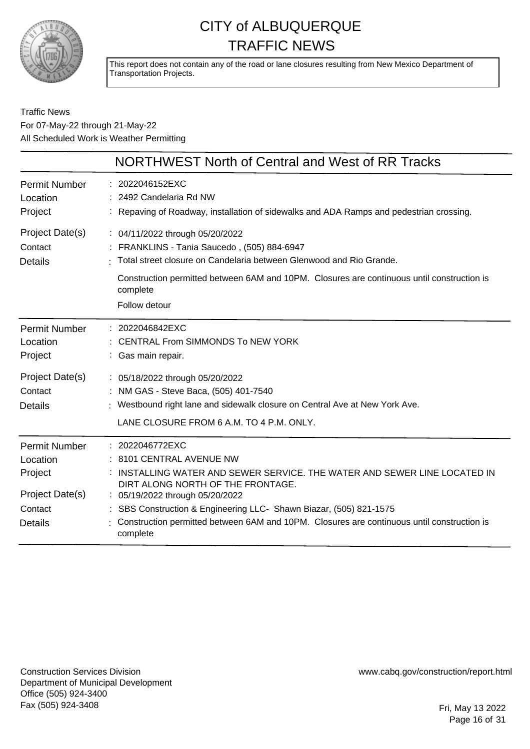

This report does not contain any of the road or lane closures resulting from New Mexico Department of Transportation Projects.

#### Traffic News For 07-May-22 through 21-May-22 All Scheduled Work is Weather Permitting

|                                                                                      | NORTHWEST North of Central and West of RR Tracks                                                                                                                                                                                                                                                                                                                             |
|--------------------------------------------------------------------------------------|------------------------------------------------------------------------------------------------------------------------------------------------------------------------------------------------------------------------------------------------------------------------------------------------------------------------------------------------------------------------------|
| <b>Permit Number</b><br>Location<br>Project                                          | : 2022046152EXC<br>2492 Candelaria Rd NW<br>: Repaving of Roadway, installation of sidewalks and ADA Ramps and pedestrian crossing.                                                                                                                                                                                                                                          |
| Project Date(s)<br>Contact<br><b>Details</b>                                         | : 04/11/2022 through 05/20/2022<br>: FRANKLINS - Tania Saucedo, (505) 884-6947<br>Total street closure on Candelaria between Glenwood and Rio Grande.<br>Construction permitted between 6AM and 10PM. Closures are continuous until construction is<br>complete<br>Follow detour                                                                                             |
| <b>Permit Number</b><br>Location<br>Project                                          | : 2022046842EXC<br>: CENTRAL From SIMMONDS To NEW YORK<br>: Gas main repair.                                                                                                                                                                                                                                                                                                 |
| Project Date(s)<br>Contact<br><b>Details</b>                                         | : 05/18/2022 through 05/20/2022<br>: NM GAS - Steve Baca, (505) 401-7540<br>: Westbound right lane and sidewalk closure on Central Ave at New York Ave.<br>LANE CLOSURE FROM 6 A.M. TO 4 P.M. ONLY.                                                                                                                                                                          |
| <b>Permit Number</b><br>Location<br>Project<br>Project Date(s)<br>Contact<br>Details | : 2022046772EXC<br>: 8101 CENTRAL AVENUE NW<br>INSTALLING WATER AND SEWER SERVICE. THE WATER AND SEWER LINE LOCATED IN<br>DIRT ALONG NORTH OF THE FRONTAGE.<br>: 05/19/2022 through 05/20/2022<br>SBS Construction & Engineering LLC- Shawn Biazar, (505) 821-1575<br>Construction permitted between 6AM and 10PM. Closures are continuous until construction is<br>complete |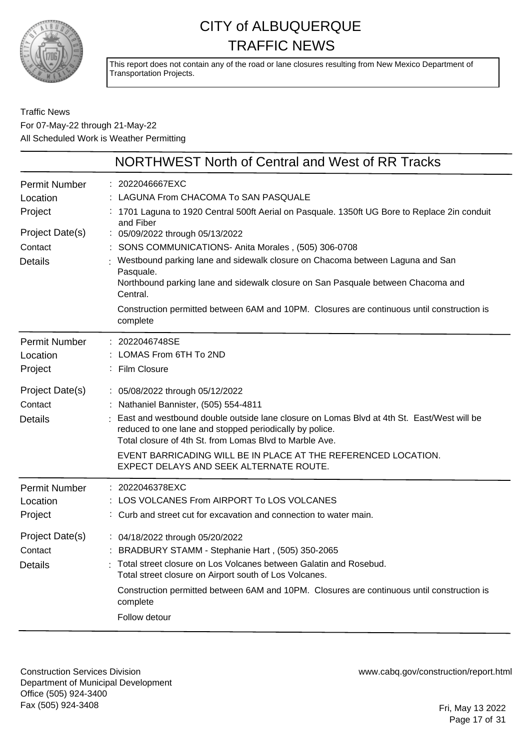

This report does not contain any of the road or lane closures resulting from New Mexico Department of Transportation Projects.

#### Traffic News For 07-May-22 through 21-May-22 All Scheduled Work is Weather Permitting

|                                              | <b>NORTHWEST North of Central and West of RR Tracks</b>                                                                                                                                                                                                                                                                                                                                                      |
|----------------------------------------------|--------------------------------------------------------------------------------------------------------------------------------------------------------------------------------------------------------------------------------------------------------------------------------------------------------------------------------------------------------------------------------------------------------------|
| <b>Permit Number</b><br>Location<br>Project  | : 2022046667EXC<br>LAGUNA From CHACOMA To SAN PASQUALE<br>1701 Laguna to 1920 Central 500ft Aerial on Pasquale. 1350ft UG Bore to Replace 2in conduit                                                                                                                                                                                                                                                        |
| Project Date(s)<br>Contact<br><b>Details</b> | and Fiber<br>: 05/09/2022 through 05/13/2022<br>: SONS COMMUNICATIONS- Anita Morales, (505) 306-0708<br>Westbound parking lane and sidewalk closure on Chacoma between Laguna and San<br>Pasquale.<br>Northbound parking lane and sidewalk closure on San Pasquale between Chacoma and<br>Central.<br>Construction permitted between 6AM and 10PM. Closures are continuous until construction is<br>complete |
| <b>Permit Number</b><br>Location<br>Project  | : 2022046748SE<br>LOMAS From 6TH To 2ND<br>Film Closure                                                                                                                                                                                                                                                                                                                                                      |
| Project Date(s)<br>Contact<br><b>Details</b> | : 05/08/2022 through 05/12/2022<br>: Nathaniel Bannister, (505) 554-4811<br>East and westbound double outside lane closure on Lomas Blvd at 4th St. East/West will be<br>reduced to one lane and stopped periodically by police.<br>Total closure of 4th St. from Lomas Blvd to Marble Ave.<br>EVENT BARRICADING WILL BE IN PLACE AT THE REFERENCED LOCATION.<br>EXPECT DELAYS AND SEEK ALTERNATE ROUTE.     |
| <b>Permit Number</b><br>Location<br>Project  | : 2022046378EXC<br>: LOS VOLCANES From AIRPORT To LOS VOLCANES<br>: Curb and street cut for excavation and connection to water main.                                                                                                                                                                                                                                                                         |
| Project Date(s)<br>Contact<br>Details        | : 04/18/2022 through 05/20/2022<br>: BRADBURY STAMM - Stephanie Hart, (505) 350-2065<br>Total street closure on Los Volcanes between Galatin and Rosebud.<br>Total street closure on Airport south of Los Volcanes.<br>Construction permitted between 6AM and 10PM. Closures are continuous until construction is<br>complete<br>Follow detour                                                               |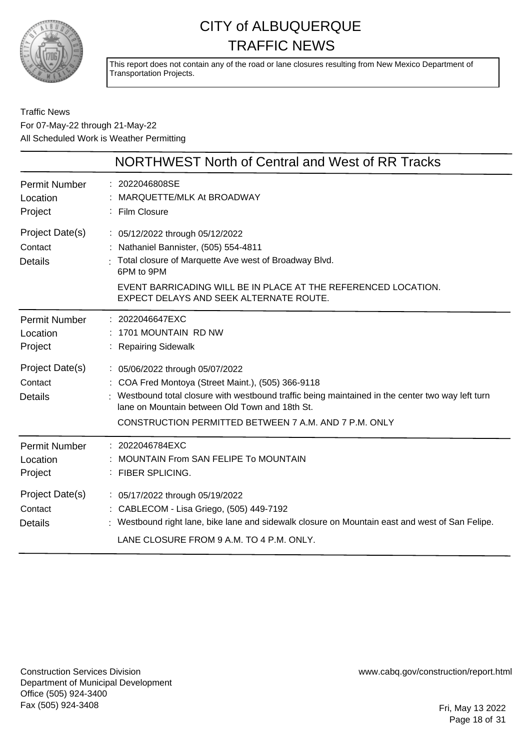

This report does not contain any of the road or lane closures resulting from New Mexico Department of Transportation Projects.

Traffic News For 07-May-22 through 21-May-22 All Scheduled Work is Weather Permitting

|                                              | NORTHWEST North of Central and West of RR Tracks                                                                                                                                                                                                                                                      |
|----------------------------------------------|-------------------------------------------------------------------------------------------------------------------------------------------------------------------------------------------------------------------------------------------------------------------------------------------------------|
| <b>Permit Number</b><br>Location<br>Project  | : 2022046808SE<br>MARQUETTE/MLK At BROADWAY<br>: Film Closure                                                                                                                                                                                                                                         |
| Project Date(s)<br>Contact<br><b>Details</b> | : 05/12/2022 through 05/12/2022<br>: Nathaniel Bannister, (505) 554-4811<br>: Total closure of Marquette Ave west of Broadway Blvd.<br>6PM to 9PM<br>EVENT BARRICADING WILL BE IN PLACE AT THE REFERENCED LOCATION.<br>EXPECT DELAYS AND SEEK ALTERNATE ROUTE.                                        |
| <b>Permit Number</b><br>Location<br>Project  | : 2022046647EXC<br>: 1701 MOUNTAIN RD NW<br>: Repairing Sidewalk                                                                                                                                                                                                                                      |
| Project Date(s)<br>Contact<br><b>Details</b> | : 05/06/2022 through 05/07/2022<br>: COA Fred Montoya (Street Maint.), (505) 366-9118<br>: Westbound total closure with westbound traffic being maintained in the center two way left turn<br>Jane on Mountain between Old Town and 18th St.<br>CONSTRUCTION PERMITTED BETWEEN 7 A.M. AND 7 P.M. ONLY |
| <b>Permit Number</b><br>Location<br>Project  | : 2022046784EXC<br><b>MOUNTAIN From SAN FELIPE To MOUNTAIN</b><br>: FIBER SPLICING.                                                                                                                                                                                                                   |
| Project Date(s)<br>Contact<br><b>Details</b> | : 05/17/2022 through 05/19/2022<br>: CABLECOM - Lisa Griego, (505) 449-7192<br>: Westbound right lane, bike lane and sidewalk closure on Mountain east and west of San Felipe.<br>LANE CLOSURE FROM 9 A.M. TO 4 P.M. ONLY.                                                                            |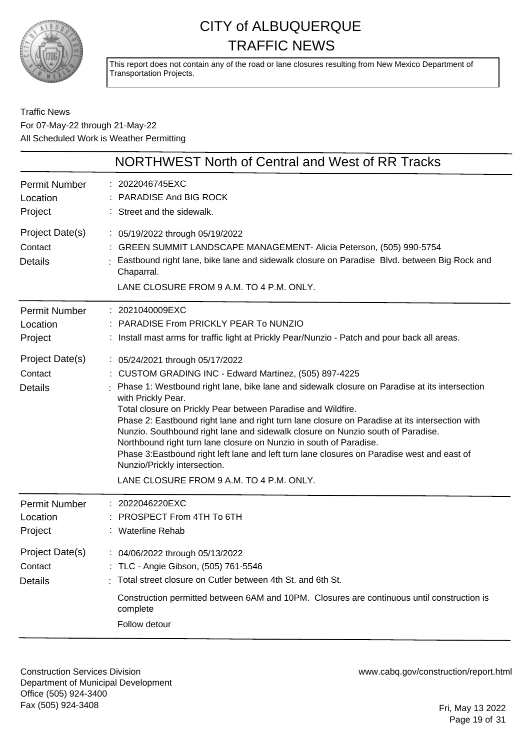

This report does not contain any of the road or lane closures resulting from New Mexico Department of Transportation Projects.

Traffic News For 07-May-22 through 21-May-22 All Scheduled Work is Weather Permitting

| NORTHWEST North of Central and West of RR Tracks                                                                                                                                                                                                                                                                                                                                                                                                                                                                                                                                                                                                                                                                       |
|------------------------------------------------------------------------------------------------------------------------------------------------------------------------------------------------------------------------------------------------------------------------------------------------------------------------------------------------------------------------------------------------------------------------------------------------------------------------------------------------------------------------------------------------------------------------------------------------------------------------------------------------------------------------------------------------------------------------|
| : 2022046745EXC<br>PARADISE And BIG ROCK<br>: Street and the sidewalk.                                                                                                                                                                                                                                                                                                                                                                                                                                                                                                                                                                                                                                                 |
| : 05/19/2022 through 05/19/2022<br>: GREEN SUMMIT LANDSCAPE MANAGEMENT- Alicia Peterson, (505) 990-5754<br>: Eastbound right lane, bike lane and sidewalk closure on Paradise Blvd. between Big Rock and<br>Chaparral.<br>LANE CLOSURE FROM 9 A.M. TO 4 P.M. ONLY.                                                                                                                                                                                                                                                                                                                                                                                                                                                     |
| : 2021040009EXC<br>: PARADISE From PRICKLY PEAR To NUNZIO<br>: Install mast arms for traffic light at Prickly Pear/Nunzio - Patch and pour back all areas.                                                                                                                                                                                                                                                                                                                                                                                                                                                                                                                                                             |
| : 05/24/2021 through 05/17/2022<br>: CUSTOM GRADING INC - Edward Martinez, (505) 897-4225<br>Phase 1: Westbound right lane, bike lane and sidewalk closure on Paradise at its intersection<br>with Prickly Pear.<br>Total closure on Prickly Pear between Paradise and Wildfire.<br>Phase 2: Eastbound right lane and right turn lane closure on Paradise at its intersection with<br>Nunzio. Southbound right lane and sidewalk closure on Nunzio south of Paradise.<br>Northbound right turn lane closure on Nunzio in south of Paradise.<br>Phase 3: Eastbound right left lane and left turn lane closures on Paradise west and east of<br>Nunzio/Prickly intersection.<br>LANE CLOSURE FROM 9 A.M. TO 4 P.M. ONLY. |
| : 2022046220EXC<br>PROSPECT From 4TH To 6TH<br>: Waterline Rehab                                                                                                                                                                                                                                                                                                                                                                                                                                                                                                                                                                                                                                                       |
| : 04/06/2022 through 05/13/2022<br>: TLC - Angie Gibson, (505) 761-5546<br>Total street closure on Cutler between 4th St. and 6th St.<br>Construction permitted between 6AM and 10PM. Closures are continuous until construction is<br>complete<br>Follow detour                                                                                                                                                                                                                                                                                                                                                                                                                                                       |
|                                                                                                                                                                                                                                                                                                                                                                                                                                                                                                                                                                                                                                                                                                                        |

Construction Services Division Department of Municipal Development Office (505) 924-3400 Fax (505) 924-3408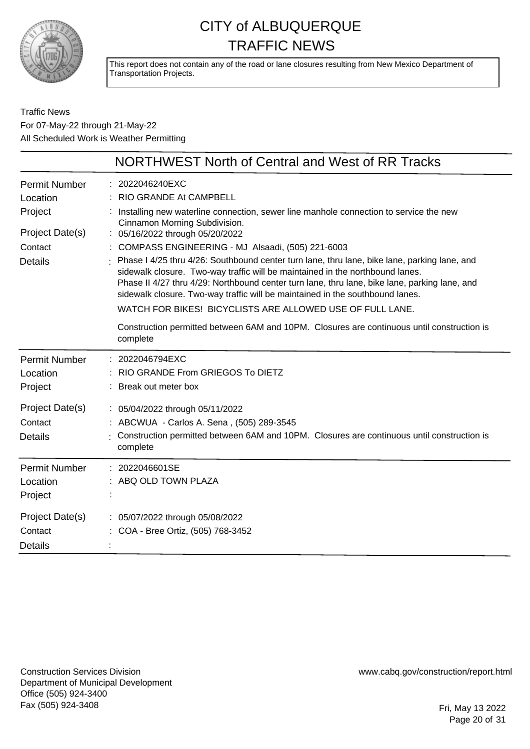

This report does not contain any of the road or lane closures resulting from New Mexico Department of Transportation Projects.

Traffic News For 07-May-22 through 21-May-22 All Scheduled Work is Weather Permitting

|                                                                                             | NORTHWEST North of Central and West of RR Tracks                                                                                                                                                                                                                                                                                                                                                                                                                                                                                                                                                                                                                                                                                                                                       |
|---------------------------------------------------------------------------------------------|----------------------------------------------------------------------------------------------------------------------------------------------------------------------------------------------------------------------------------------------------------------------------------------------------------------------------------------------------------------------------------------------------------------------------------------------------------------------------------------------------------------------------------------------------------------------------------------------------------------------------------------------------------------------------------------------------------------------------------------------------------------------------------------|
| <b>Permit Number</b><br>Location<br>Project<br>Project Date(s)<br>Contact<br><b>Details</b> | 2022046240EXC<br>RIO GRANDE At CAMPBELL<br>Installing new waterline connection, sewer line manhole connection to service the new<br>Cinnamon Morning Subdivision.<br>: 05/16/2022 through 05/20/2022<br>COMPASS ENGINEERING - MJ Alsaadi, (505) 221-6003<br>Phase I 4/25 thru 4/26: Southbound center turn lane, thru lane, bike lane, parking lane, and<br>sidewalk closure. Two-way traffic will be maintained in the northbound lanes.<br>Phase II 4/27 thru 4/29: Northbound center turn lane, thru lane, bike lane, parking lane, and<br>sidewalk closure. Two-way traffic will be maintained in the southbound lanes.<br>WATCH FOR BIKES! BICYCLISTS ARE ALLOWED USE OF FULL LANE.<br>Construction permitted between 6AM and 10PM. Closures are continuous until construction is |
| <b>Permit Number</b><br>Location<br>Project                                                 | complete<br>2022046794EXC<br>RIO GRANDE From GRIEGOS To DIETZ<br>Break out meter box                                                                                                                                                                                                                                                                                                                                                                                                                                                                                                                                                                                                                                                                                                   |
| Project Date(s)<br>Contact<br><b>Details</b>                                                | : 05/04/2022 through 05/11/2022<br>ABCWUA - Carlos A. Sena, (505) 289-3545<br>Construction permitted between 6AM and 10PM. Closures are continuous until construction is<br>complete                                                                                                                                                                                                                                                                                                                                                                                                                                                                                                                                                                                                   |
| <b>Permit Number</b><br>Location<br>Project                                                 | 2022046601SE<br>ABQ OLD TOWN PLAZA                                                                                                                                                                                                                                                                                                                                                                                                                                                                                                                                                                                                                                                                                                                                                     |
| Project Date(s)<br>Contact<br><b>Details</b>                                                | : 05/07/2022 through 05/08/2022<br>: COA - Bree Ortiz, (505) 768-3452                                                                                                                                                                                                                                                                                                                                                                                                                                                                                                                                                                                                                                                                                                                  |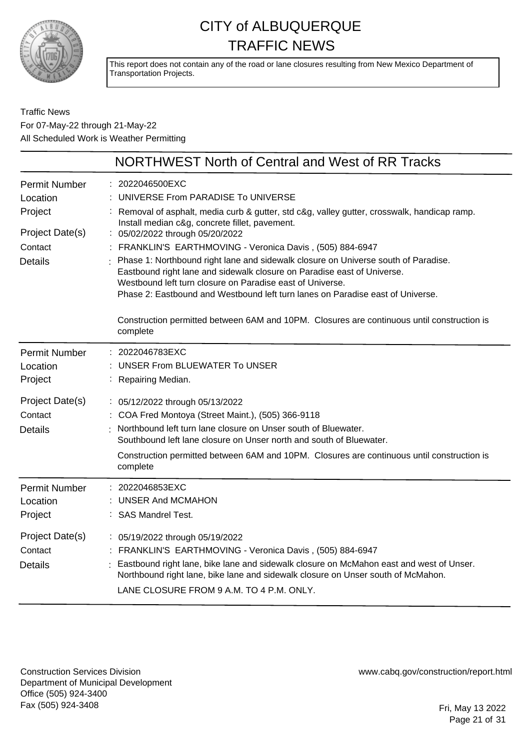

This report does not contain any of the road or lane closures resulting from New Mexico Department of Transportation Projects.

Traffic News For 07-May-22 through 21-May-22 All Scheduled Work is Weather Permitting

|                                              | NORTHWEST North of Central and West of RR Tracks                                                                                                                                                                                                                                                                                                                          |
|----------------------------------------------|---------------------------------------------------------------------------------------------------------------------------------------------------------------------------------------------------------------------------------------------------------------------------------------------------------------------------------------------------------------------------|
| <b>Permit Number</b><br>Location<br>Project  | 2022046500EXC<br>UNIVERSE From PARADISE To UNIVERSE<br>: Removal of asphalt, media curb & gutter, std c&g, valley gutter, crosswalk, handicap ramp.                                                                                                                                                                                                                       |
| Project Date(s)                              | Install median c&g, concrete fillet, pavement.<br>: 05/02/2022 through 05/20/2022                                                                                                                                                                                                                                                                                         |
| Contact<br><b>Details</b>                    | : FRANKLIN'S EARTHMOVING - Veronica Davis, (505) 884-6947<br>Phase 1: Northbound right lane and sidewalk closure on Universe south of Paradise.<br>Eastbound right lane and sidewalk closure on Paradise east of Universe.<br>Westbound left turn closure on Paradise east of Universe.<br>Phase 2: Eastbound and Westbound left turn lanes on Paradise east of Universe. |
|                                              | Construction permitted between 6AM and 10PM. Closures are continuous until construction is<br>complete                                                                                                                                                                                                                                                                    |
| <b>Permit Number</b><br>Location<br>Project  | : 2022046783EXC<br><b>UNSER From BLUEWATER To UNSER</b><br>: Repairing Median.                                                                                                                                                                                                                                                                                            |
| Project Date(s)<br>Contact<br><b>Details</b> | : 05/12/2022 through 05/13/2022<br>: COA Fred Montoya (Street Maint.), (505) 366-9118<br>Northbound left turn lane closure on Unser south of Bluewater.<br>Southbound left lane closure on Unser north and south of Bluewater.<br>Construction permitted between 6AM and 10PM. Closures are continuous until construction is<br>complete                                  |
| <b>Permit Number</b><br>Location<br>Project  | 2022046853EXC<br>UNSER And MCMAHON<br>: SAS Mandrel Test.                                                                                                                                                                                                                                                                                                                 |
| Project Date(s)<br>Contact<br><b>Details</b> | : 05/19/2022 through 05/19/2022<br>FRANKLIN'S EARTHMOVING - Veronica Davis, (505) 884-6947<br>Eastbound right lane, bike lane and sidewalk closure on McMahon east and west of Unser.<br>Northbound right lane, bike lane and sidewalk closure on Unser south of McMahon.<br>LANE CLOSURE FROM 9 A.M. TO 4 P.M. ONLY.                                                     |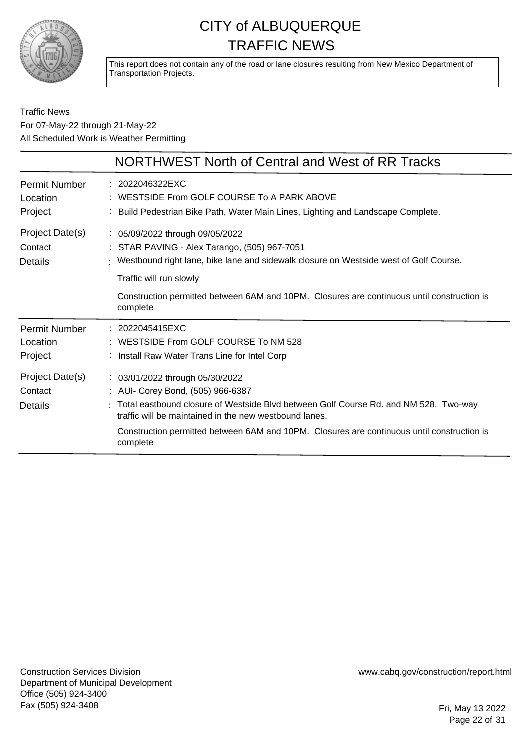

This report does not contain any of the road or lane closures resulting from New Mexico Department of Transportation Projects.

#### Traffic News For 07-May-22 through 21-May-22 All Scheduled Work is Weather Permitting

|                                              | NORTHWEST North of Central and West of RR Tracks                                                                                                                           |
|----------------------------------------------|----------------------------------------------------------------------------------------------------------------------------------------------------------------------------|
| Permit Number<br>Location<br>Project         | : 2022046322EXC<br>WESTSIDE From GOLF COURSE To A PARK ABOVE<br>: Build Pedestrian Bike Path, Water Main Lines, Lighting and Landscape Complete.                           |
| Project Date(s)<br>Contact<br><b>Details</b> | : 05/09/2022 through 09/05/2022<br>: STAR PAVING - Alex Tarango, (505) 967-7051<br>: Westbound right lane, bike lane and sidewalk closure on Westside west of Golf Course. |
|                                              | Traffic will run slowly                                                                                                                                                    |
|                                              | Construction permitted between 6AM and 10PM. Closures are continuous until construction is<br>complete                                                                     |
| Permit Number<br>Location<br>Project         | : 2022045415EXC<br>: WESTSIDE From GOLF COURSE To NM 528<br>: Install Raw Water Trans Line for Intel Corp                                                                  |
| Project Date(s)<br>Contact                   | : 03/01/2022 through 05/30/2022<br>: AUI- Corey Bond, (505) 966-6387                                                                                                       |
| Details                                      | : Total eastbound closure of Westside Blvd between Golf Course Rd. and NM 528. Two-way<br>traffic will be maintained in the new westbound lanes.                           |
|                                              | Construction permitted between 6AM and 10PM. Closures are continuous until construction is<br>complete                                                                     |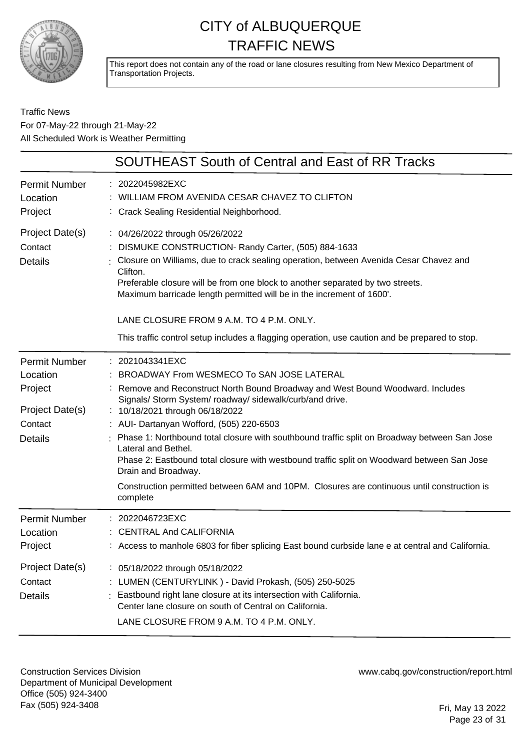

This report does not contain any of the road or lane closures resulting from New Mexico Department of Transportation Projects.

#### Traffic News For 07-May-22 through 21-May-22 All Scheduled Work is Weather Permitting

|                                                                                             | <b>SOUTHEAST South of Central and East of RR Tracks</b>                                                                                                                                                                                                                                                                                                                                                                                                                                                                                                                                                                                          |
|---------------------------------------------------------------------------------------------|--------------------------------------------------------------------------------------------------------------------------------------------------------------------------------------------------------------------------------------------------------------------------------------------------------------------------------------------------------------------------------------------------------------------------------------------------------------------------------------------------------------------------------------------------------------------------------------------------------------------------------------------------|
| <b>Permit Number</b><br>Location<br>Project                                                 | : 2022045982EXC<br>WILLIAM FROM AVENIDA CESAR CHAVEZ TO CLIFTON<br>: Crack Sealing Residential Neighborhood.                                                                                                                                                                                                                                                                                                                                                                                                                                                                                                                                     |
| Project Date(s)<br>Contact<br><b>Details</b>                                                | : 04/26/2022 through 05/26/2022<br>DISMUKE CONSTRUCTION- Randy Carter, (505) 884-1633<br>: Closure on Williams, due to crack sealing operation, between Avenida Cesar Chavez and<br>Clifton.<br>Preferable closure will be from one block to another separated by two streets.<br>Maximum barricade length permitted will be in the increment of 1600'.                                                                                                                                                                                                                                                                                          |
|                                                                                             | LANE CLOSURE FROM 9 A.M. TO 4 P.M. ONLY.<br>This traffic control setup includes a flagging operation, use caution and be prepared to stop.                                                                                                                                                                                                                                                                                                                                                                                                                                                                                                       |
| <b>Permit Number</b><br>Location<br>Project<br>Project Date(s)<br>Contact<br><b>Details</b> | : 2021043341EXC<br>BROADWAY From WESMECO To SAN JOSE LATERAL<br>Remove and Reconstruct North Bound Broadway and West Bound Woodward. Includes<br>Signals/ Storm System/ roadway/ sidewalk/curb/and drive.<br>: 10/18/2021 through 06/18/2022<br>: AUI- Dartanyan Wofford, (505) 220-6503<br>: Phase 1: Northbound total closure with southbound traffic split on Broadway between San Jose<br>Lateral and Bethel.<br>Phase 2: Eastbound total closure with westbound traffic split on Woodward between San Jose<br>Drain and Broadway.<br>Construction permitted between 6AM and 10PM. Closures are continuous until construction is<br>complete |
| Permit Number<br>Location<br>Project                                                        | : 2022046723EXC<br><b>CENTRAL And CALIFORNIA</b><br>: Access to manhole 6803 for fiber splicing East bound curbside lane e at central and California.                                                                                                                                                                                                                                                                                                                                                                                                                                                                                            |
| Project Date(s)<br>Contact<br><b>Details</b>                                                | : 05/18/2022 through 05/18/2022<br>: LUMEN (CENTURYLINK) - David Prokash, (505) 250-5025<br>Eastbound right lane closure at its intersection with California.<br>Center lane closure on south of Central on California.<br>LANE CLOSURE FROM 9 A.M. TO 4 P.M. ONLY.                                                                                                                                                                                                                                                                                                                                                                              |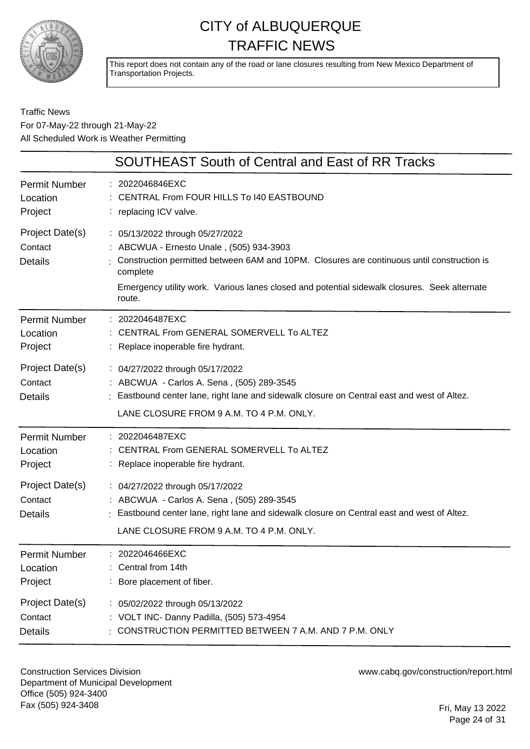

This report does not contain any of the road or lane closures resulting from New Mexico Department of Transportation Projects.

#### Traffic News For 07-May-22 through 21-May-22 All Scheduled Work is Weather Permitting

|                                              | <b>SOUTHEAST South of Central and East of RR Tracks</b>                                                                                                                                                                                                                                         |
|----------------------------------------------|-------------------------------------------------------------------------------------------------------------------------------------------------------------------------------------------------------------------------------------------------------------------------------------------------|
| <b>Permit Number</b>                         | : 2022046846EXC                                                                                                                                                                                                                                                                                 |
| Location                                     | : CENTRAL From FOUR HILLS To I40 EASTBOUND                                                                                                                                                                                                                                                      |
| Project                                      | : replacing ICV valve.                                                                                                                                                                                                                                                                          |
| Project Date(s)<br>Contact<br><b>Details</b> | : 05/13/2022 through 05/27/2022<br>: ABCWUA - Ernesto Unale, (505) 934-3903<br>Construction permitted between 6AM and 10PM. Closures are continuous until construction is<br>complete<br>Emergency utility work. Various lanes closed and potential sidewalk closures. Seek alternate<br>route. |
| <b>Permit Number</b>                         | : 2022046487EXC                                                                                                                                                                                                                                                                                 |
| Location                                     | : CENTRAL From GENERAL SOMERVELL To ALTEZ                                                                                                                                                                                                                                                       |
| Project                                      | : Replace inoperable fire hydrant.                                                                                                                                                                                                                                                              |
| Project Date(s)<br>Contact<br><b>Details</b> | : 04/27/2022 through 05/17/2022<br>: ABCWUA - Carlos A. Sena, (505) 289-3545<br>: Eastbound center lane, right lane and sidewalk closure on Central east and west of Altez.<br>LANE CLOSURE FROM 9 A.M. TO 4 P.M. ONLY.                                                                         |
| <b>Permit Number</b>                         | : 2022046487EXC                                                                                                                                                                                                                                                                                 |
| Location                                     | : CENTRAL From GENERAL SOMERVELL To ALTEZ                                                                                                                                                                                                                                                       |
| Project                                      | : Replace inoperable fire hydrant.                                                                                                                                                                                                                                                              |
| Project Date(s)                              | : 04/27/2022 through 05/17/2022                                                                                                                                                                                                                                                                 |
| Contact                                      | : ABCWUA - Carlos A. Sena, (505) 289-3545                                                                                                                                                                                                                                                       |
| <b>Details</b>                               | : Eastbound center lane, right lane and sidewalk closure on Central east and west of Altez.<br>LANE CLOSURE FROM 9 A.M. TO 4 P.M. ONLY.                                                                                                                                                         |
| Permit Number                                | : 2022046466EXC                                                                                                                                                                                                                                                                                 |
| Location                                     | : Central from 14th                                                                                                                                                                                                                                                                             |
| Project                                      | : Bore placement of fiber.                                                                                                                                                                                                                                                                      |
| Project Date(s)                              | : 05/02/2022 through 05/13/2022                                                                                                                                                                                                                                                                 |
| Contact                                      | : VOLT INC- Danny Padilla, (505) 573-4954                                                                                                                                                                                                                                                       |
| <b>Details</b>                               | CONSTRUCTION PERMITTED BETWEEN 7 A.M. AND 7 P.M. ONLY                                                                                                                                                                                                                                           |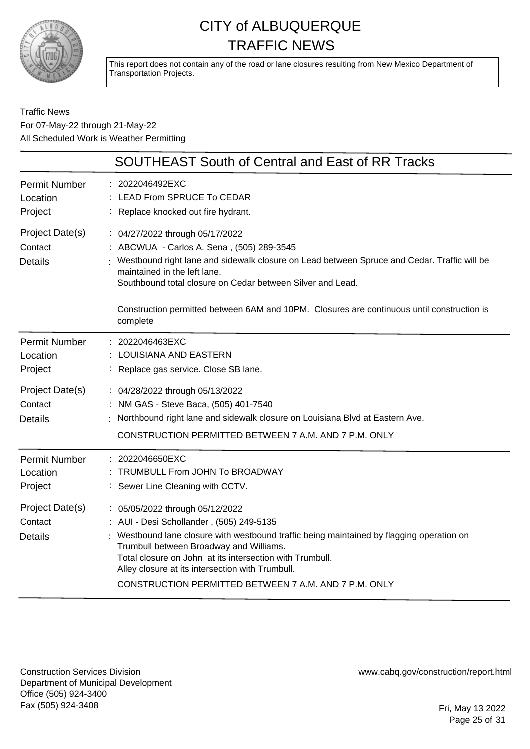

This report does not contain any of the road or lane closures resulting from New Mexico Department of Transportation Projects.

Traffic News For 07-May-22 through 21-May-22 All Scheduled Work is Weather Permitting

|                                              | SOUTHEAST South of Central and East of RR Tracks                                                                                                                                                                                                                                                                                                                                           |
|----------------------------------------------|--------------------------------------------------------------------------------------------------------------------------------------------------------------------------------------------------------------------------------------------------------------------------------------------------------------------------------------------------------------------------------------------|
| <b>Permit Number</b><br>Location<br>Project  | : 2022046492EXC<br>LEAD From SPRUCE To CEDAR<br>: Replace knocked out fire hydrant.                                                                                                                                                                                                                                                                                                        |
| Project Date(s)<br>Contact<br><b>Details</b> | : 04/27/2022 through 05/17/2022<br>: ABCWUA - Carlos A. Sena, (505) 289-3545<br>Westbound right lane and sidewalk closure on Lead between Spruce and Cedar. Traffic will be<br>maintained in the left lane.<br>Southbound total closure on Cedar between Silver and Lead.                                                                                                                  |
|                                              | Construction permitted between 6AM and 10PM. Closures are continuous until construction is<br>complete                                                                                                                                                                                                                                                                                     |
| <b>Permit Number</b><br>Location<br>Project  | : 2022046463EXC<br>LOUISIANA AND EASTERN<br>: Replace gas service. Close SB lane.                                                                                                                                                                                                                                                                                                          |
| Project Date(s)<br>Contact<br><b>Details</b> | : 04/28/2022 through 05/13/2022<br>: NM GAS - Steve Baca, (505) 401-7540<br>Northbound right lane and sidewalk closure on Louisiana Blvd at Eastern Ave.<br>CONSTRUCTION PERMITTED BETWEEN 7 A.M. AND 7 P.M. ONLY                                                                                                                                                                          |
| <b>Permit Number</b><br>Location<br>Project  | $: 2022046650$ EXC<br>TRUMBULL From JOHN To BROADWAY<br>: Sewer Line Cleaning with CCTV.                                                                                                                                                                                                                                                                                                   |
| Project Date(s)<br>Contact<br><b>Details</b> | : 05/05/2022 through 05/12/2022<br>: AUI - Desi Schollander, (505) 249-5135<br>Westbound lane closure with westbound traffic being maintained by flagging operation on<br>Trumbull between Broadway and Williams.<br>Total closure on John at its intersection with Trumbull.<br>Alley closure at its intersection with Trumbull.<br>CONSTRUCTION PERMITTED BETWEEN 7 A.M. AND 7 P.M. ONLY |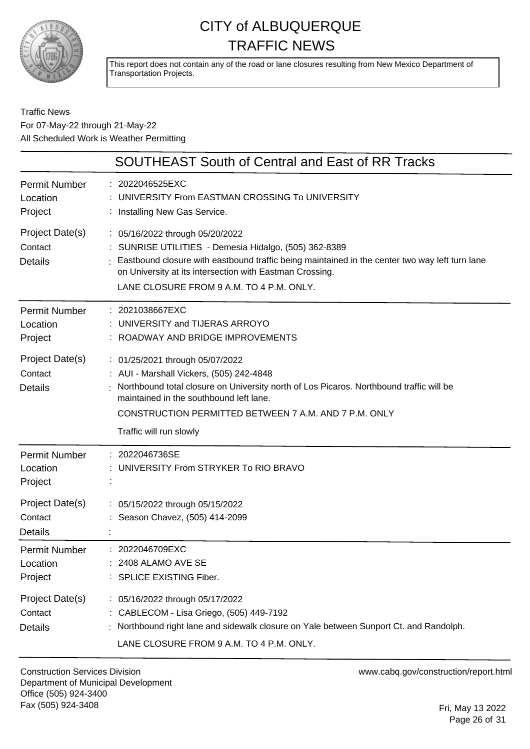

This report does not contain any of the road or lane closures resulting from New Mexico Department of Transportation Projects.

#### Traffic News For 07-May-22 through 21-May-22 All Scheduled Work is Weather Permitting

|                                              | <b>SOUTHEAST South of Central and East of RR Tracks</b>                                                                                                                                                                                                                                               |
|----------------------------------------------|-------------------------------------------------------------------------------------------------------------------------------------------------------------------------------------------------------------------------------------------------------------------------------------------------------|
| <b>Permit Number</b><br>Location<br>Project  | : 2022046525EXC<br>UNIVERSITY From EASTMAN CROSSING To UNIVERSITY<br>: Installing New Gas Service.                                                                                                                                                                                                    |
| Project Date(s)<br>Contact<br><b>Details</b> | : 05/16/2022 through 05/20/2022<br>SUNRISE UTILITIES - Demesia Hidalgo, (505) 362-8389<br>: Eastbound closure with eastbound traffic being maintained in the center two way left turn lane<br>on University at its intersection with Eastman Crossing.<br>LANE CLOSURE FROM 9 A.M. TO 4 P.M. ONLY.    |
| <b>Permit Number</b><br>Location<br>Project  | : 2021038667EXC<br>UNIVERSITY and TIJERAS ARROYO<br>: ROADWAY AND BRIDGE IMPROVEMENTS                                                                                                                                                                                                                 |
| Project Date(s)<br>Contact<br><b>Details</b> | : 01/25/2021 through 05/07/2022<br>: AUI - Marshall Vickers, (505) 242-4848<br>Northbound total closure on University north of Los Picaros. Northbound traffic will be<br>maintained in the southbound left lane.<br>CONSTRUCTION PERMITTED BETWEEN 7 A.M. AND 7 P.M. ONLY<br>Traffic will run slowly |
| Permit Number<br>Location<br>Project         | 2022046736SE<br>UNIVERSITY From STRYKER To RIO BRAVO                                                                                                                                                                                                                                                  |
| Project Date(s)<br>Contact<br><b>Details</b> | : 05/15/2022 through 05/15/2022<br>: Season Chavez, (505) 414-2099                                                                                                                                                                                                                                    |
| Permit Number<br>Location<br>Project         | : 2022046709EXC<br>: 2408 ALAMO AVE SE<br>: SPLICE EXISTING Fiber.                                                                                                                                                                                                                                    |
| Project Date(s)<br>Contact<br><b>Details</b> | : 05/16/2022 through 05/17/2022<br>: CABLECOM - Lisa Griego, (505) 449-7192<br>: Northbound right lane and sidewalk closure on Yale between Sunport Ct. and Randolph.<br>LANE CLOSURE FROM 9 A.M. TO 4 P.M. ONLY.                                                                                     |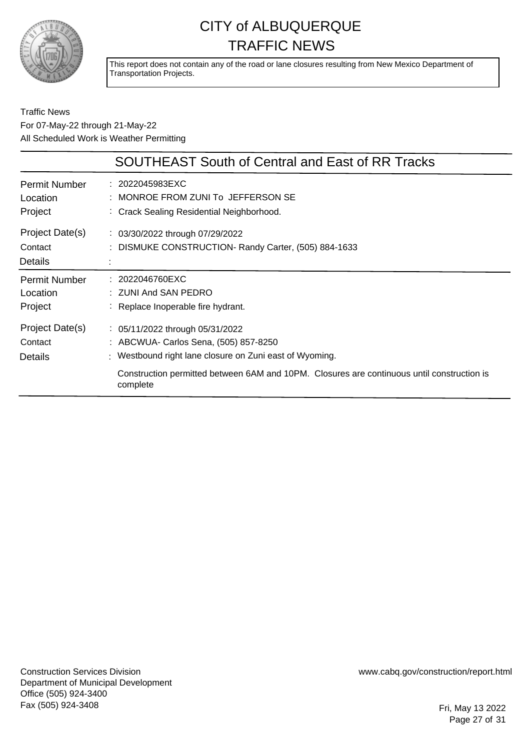

This report does not contain any of the road or lane closures resulting from New Mexico Department of Transportation Projects.

#### Traffic News For 07-May-22 through 21-May-22 All Scheduled Work is Weather Permitting

|                                              | <b>SOUTHEAST South of Central and East of RR Tracks</b>                                                                                                                                                                                                   |
|----------------------------------------------|-----------------------------------------------------------------------------------------------------------------------------------------------------------------------------------------------------------------------------------------------------------|
| Permit Number<br>Location<br>Project         | : 2022045983EXC<br>: MONROE FROM ZUNI To JEFFERSON SE<br>: Crack Sealing Residential Neighborhood.                                                                                                                                                        |
| Project Date(s)<br>Contact<br><b>Details</b> | : 03/30/2022 through 07/29/2022<br>: DISMUKE CONSTRUCTION- Randy Carter, (505) 884-1633                                                                                                                                                                   |
| <b>Permit Number</b><br>Location<br>Project  | : 2022046760EXC<br>: ZUNI And SAN PEDRO<br>: Replace Inoperable fire hydrant.                                                                                                                                                                             |
| Project Date(s)<br>Contact<br><b>Details</b> | $\frac{1}{2}$ 05/11/2022 through 05/31/2022<br>: ABCWUA- Carlos Sena, (505) 857-8250<br>: Westbound right lane closure on Zuni east of Wyoming.<br>Construction permitted between 6AM and 10PM. Closures are continuous until construction is<br>complete |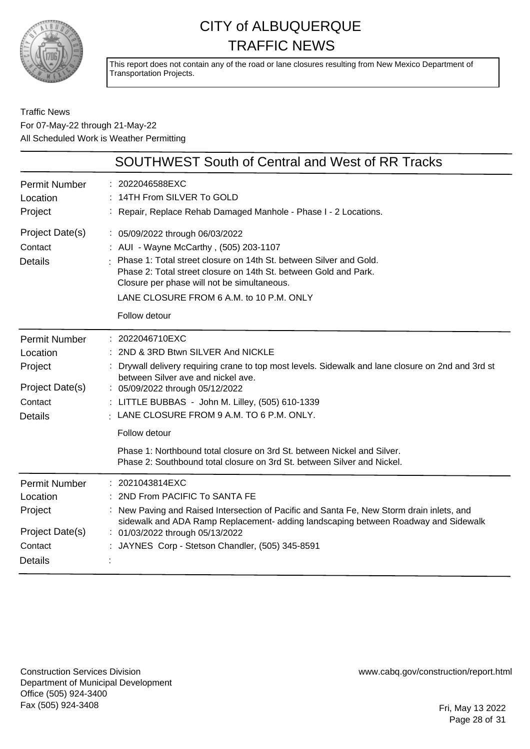

This report does not contain any of the road or lane closures resulting from New Mexico Department of Transportation Projects.

Traffic News For 07-May-22 through 21-May-22 All Scheduled Work is Weather Permitting

|                                                                                             | <b>SOUTHWEST South of Central and West of RR Tracks</b>                                                                                                                                                                                                                                                                                                                                                                                                                                                                  |
|---------------------------------------------------------------------------------------------|--------------------------------------------------------------------------------------------------------------------------------------------------------------------------------------------------------------------------------------------------------------------------------------------------------------------------------------------------------------------------------------------------------------------------------------------------------------------------------------------------------------------------|
| <b>Permit Number</b><br>Location<br>Project                                                 | : 2022046588EXC<br>: 14TH From SILVER To GOLD<br>Repair, Replace Rehab Damaged Manhole - Phase I - 2 Locations.                                                                                                                                                                                                                                                                                                                                                                                                          |
| Project Date(s)<br>Contact<br><b>Details</b>                                                | : 05/09/2022 through 06/03/2022<br>: AUI - Wayne McCarthy, (505) 203-1107<br>Phase 1: Total street closure on 14th St. between Silver and Gold.<br>Phase 2: Total street closure on 14th St. between Gold and Park.<br>Closure per phase will not be simultaneous.<br>LANE CLOSURE FROM 6 A.M. to 10 P.M. ONLY<br>Follow detour                                                                                                                                                                                          |
| <b>Permit Number</b><br>Location<br>Project<br>Project Date(s)<br>Contact<br><b>Details</b> | $: 2022046710$ EXC<br>2ND & 3RD Btwn SILVER And NICKLE<br>Drywall delivery requiring crane to top most levels. Sidewalk and lane closure on 2nd and 3rd st<br>between Silver ave and nickel ave.<br>: 05/09/2022 through 05/12/2022<br>: LITTLE BUBBAS - John M. Lilley, (505) 610-1339<br>$\frac{1}{2}$ LANE CLOSURE FROM 9 A.M. TO 6 P.M. ONLY.<br>Follow detour<br>Phase 1: Northbound total closure on 3rd St. between Nickel and Silver.<br>Phase 2: Southbound total closure on 3rd St. between Silver and Nickel. |
| <b>Permit Number</b><br>Location<br>Project<br>Project Date(s)<br>Contact<br>Details        | : 2021043814EXC<br>2ND From PACIFIC To SANTA FE<br>New Paving and Raised Intersection of Pacific and Santa Fe, New Storm drain inlets, and<br>sidewalk and ADA Ramp Replacement- adding landscaping between Roadway and Sidewalk<br>01/03/2022 through 05/13/2022<br>JAYNES Corp - Stetson Chandler, (505) 345-8591                                                                                                                                                                                                      |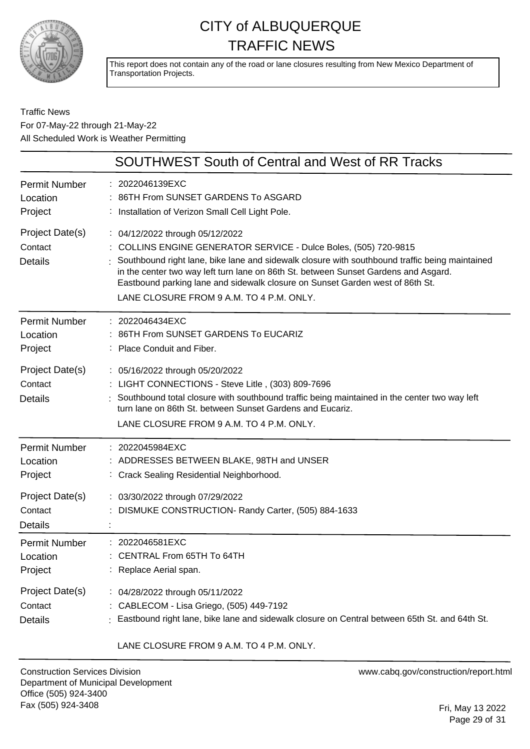

This report does not contain any of the road or lane closures resulting from New Mexico Department of Transportation Projects.

#### Traffic News For 07-May-22 through 21-May-22 All Scheduled Work is Weather Permitting

| SOUTHWEST South of Central and West of RR Tracks |                                                                                                                                                                                                                                                                                                                                                                                                                           |
|--------------------------------------------------|---------------------------------------------------------------------------------------------------------------------------------------------------------------------------------------------------------------------------------------------------------------------------------------------------------------------------------------------------------------------------------------------------------------------------|
| <b>Permit Number</b>                             | : 2022046139EXC                                                                                                                                                                                                                                                                                                                                                                                                           |
| Location                                         | 86TH From SUNSET GARDENS To ASGARD                                                                                                                                                                                                                                                                                                                                                                                        |
| Project                                          | : Installation of Verizon Small Cell Light Pole.                                                                                                                                                                                                                                                                                                                                                                          |
| Project Date(s)<br>Contact<br><b>Details</b>     | : 04/12/2022 through 05/12/2022<br>: COLLINS ENGINE GENERATOR SERVICE - Dulce Boles, (505) 720-9815<br>Southbound right lane, bike lane and sidewalk closure with southbound traffic being maintained<br>in the center two way left turn lane on 86th St. between Sunset Gardens and Asgard.<br>Eastbound parking lane and sidewalk closure on Sunset Garden west of 86th St.<br>LANE CLOSURE FROM 9 A.M. TO 4 P.M. ONLY. |
| <b>Permit Number</b>                             | : 2022046434EXC                                                                                                                                                                                                                                                                                                                                                                                                           |
| Location                                         | 86TH From SUNSET GARDENS To EUCARIZ                                                                                                                                                                                                                                                                                                                                                                                       |
| Project                                          | : Place Conduit and Fiber.                                                                                                                                                                                                                                                                                                                                                                                                |
| Project Date(s)<br>Contact<br><b>Details</b>     | : 05/16/2022 through 05/20/2022<br>LIGHT CONNECTIONS - Steve Litle, (303) 809-7696<br>Southbound total closure with southbound traffic being maintained in the center two way left<br>turn lane on 86th St. between Sunset Gardens and Eucariz.<br>LANE CLOSURE FROM 9 A.M. TO 4 P.M. ONLY.                                                                                                                               |
| <b>Permit Number</b>                             | : 2022045984EXC                                                                                                                                                                                                                                                                                                                                                                                                           |
| Location                                         | : ADDRESSES BETWEEN BLAKE, 98TH and UNSER                                                                                                                                                                                                                                                                                                                                                                                 |
| Project                                          | : Crack Sealing Residential Neighborhood.                                                                                                                                                                                                                                                                                                                                                                                 |
| Project Date(s)<br>Contact<br><b>Details</b>     | : 03/30/2022 through 07/29/2022<br>DISMUKE CONSTRUCTION- Randy Carter, (505) 884-1633                                                                                                                                                                                                                                                                                                                                     |
| <b>Permit Number</b>                             | : 2022046581EXC                                                                                                                                                                                                                                                                                                                                                                                                           |
| Location                                         | CENTRAL From 65TH To 64TH                                                                                                                                                                                                                                                                                                                                                                                                 |
| Project                                          | Replace Aerial span.                                                                                                                                                                                                                                                                                                                                                                                                      |
| Project Date(s)                                  | : 04/28/2022 through 05/11/2022                                                                                                                                                                                                                                                                                                                                                                                           |
| Contact                                          | CABLECOM - Lisa Griego, (505) 449-7192                                                                                                                                                                                                                                                                                                                                                                                    |
| <b>Details</b>                                   | : Eastbound right lane, bike lane and sidewalk closure on Central between 65th St. and 64th St.                                                                                                                                                                                                                                                                                                                           |

LANE CLOSURE FROM 9 A.M. TO 4 P.M. ONLY.

Construction Services Division Department of Municipal Development Office (505) 924-3400 Fax (505) 924-3408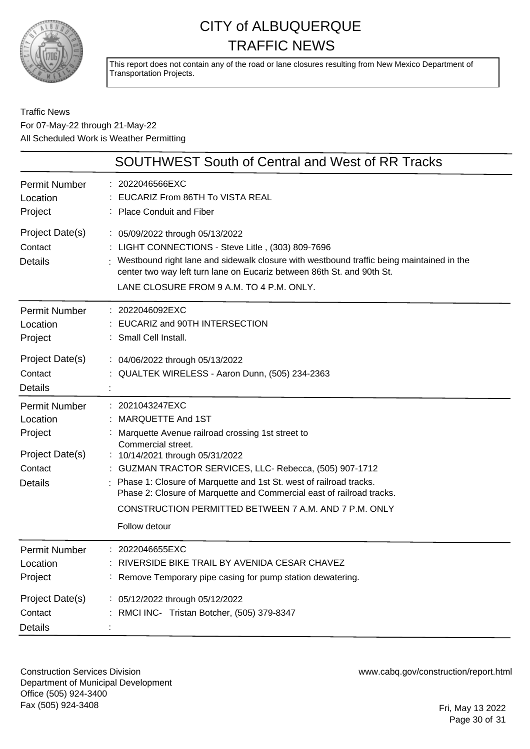

This report does not contain any of the road or lane closures resulting from New Mexico Department of Transportation Projects.

#### Traffic News For 07-May-22 through 21-May-22 All Scheduled Work is Weather Permitting

| <b>SOUTHWEST South of Central and West of RR Tracks</b>                                     |                                                                                                                                                                                                                                                                                                                                                                                                                                         |
|---------------------------------------------------------------------------------------------|-----------------------------------------------------------------------------------------------------------------------------------------------------------------------------------------------------------------------------------------------------------------------------------------------------------------------------------------------------------------------------------------------------------------------------------------|
| <b>Permit Number</b><br>Location<br>Project                                                 | 2022046566EXC<br>EUCARIZ From 86TH To VISTA REAL<br>: Place Conduit and Fiber                                                                                                                                                                                                                                                                                                                                                           |
| Project Date(s)<br>Contact<br><b>Details</b>                                                | : 05/09/2022 through 05/13/2022<br>: LIGHT CONNECTIONS - Steve Litle, (303) 809-7696<br>Westbound right lane and sidewalk closure with westbound traffic being maintained in the<br>center two way left turn lane on Eucariz between 86th St. and 90th St.<br>LANE CLOSURE FROM 9 A.M. TO 4 P.M. ONLY.                                                                                                                                  |
| <b>Permit Number</b><br>Location<br>Project                                                 | 2022046092EXC<br>EUCARIZ and 90TH INTERSECTION<br>: Small Cell Install.                                                                                                                                                                                                                                                                                                                                                                 |
| Project Date(s)<br>Contact<br><b>Details</b>                                                | : 04/06/2022 through 05/13/2022<br>: QUALTEK WIRELESS - Aaron Dunn, (505) 234-2363                                                                                                                                                                                                                                                                                                                                                      |
| <b>Permit Number</b><br>Location<br>Project<br>Project Date(s)<br>Contact<br><b>Details</b> | : 2021043247EXC<br>: MARQUETTE And 1ST<br>Marquette Avenue railroad crossing 1st street to<br>Commercial street.<br>: 10/14/2021 through 05/31/2022<br>: GUZMAN TRACTOR SERVICES, LLC- Rebecca, (505) 907-1712<br>Phase 1: Closure of Marquette and 1st St. west of railroad tracks.<br>Phase 2: Closure of Marquette and Commercial east of railroad tracks.<br>CONSTRUCTION PERMITTED BETWEEN 7 A.M. AND 7 P.M. ONLY<br>Follow detour |
| <b>Permit Number</b><br>Location<br>Project                                                 | 2022046655EXC<br>: RIVERSIDE BIKE TRAIL BY AVENIDA CESAR CHAVEZ<br>: Remove Temporary pipe casing for pump station dewatering.                                                                                                                                                                                                                                                                                                          |
| Project Date(s)<br>Contact<br><b>Details</b>                                                | : 05/12/2022 through 05/12/2022<br>RMCI INC- Tristan Botcher, (505) 379-8347                                                                                                                                                                                                                                                                                                                                                            |